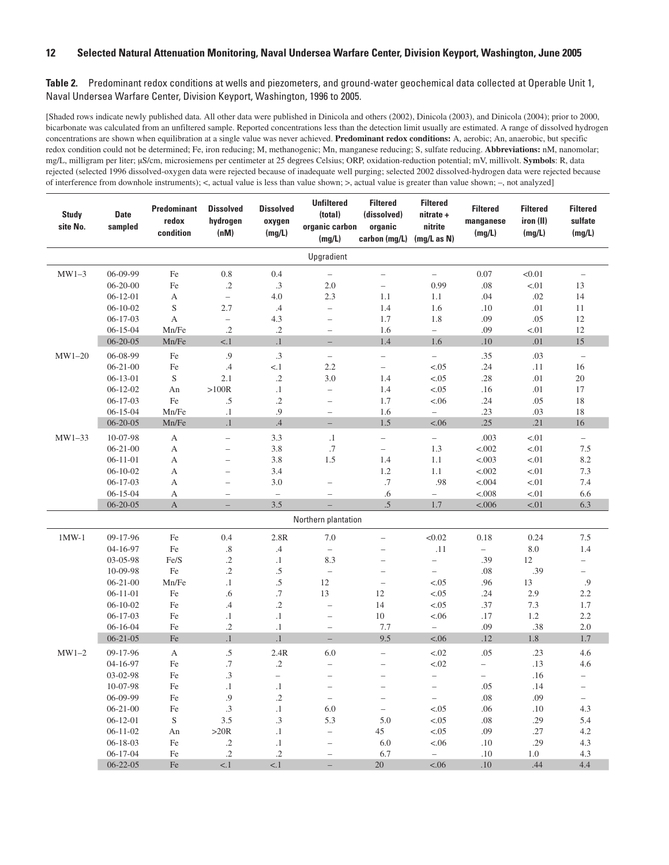| <b>Study</b><br>site No. | <b>Date</b><br>sampled | <b>Predominant</b><br>redox<br>condition | <b>Dissolved</b><br>hydrogen<br>(nM) | <b>Dissolved</b><br>oxygen<br>(mg/L) | <b>Unfiltered</b><br>(total)<br>organic carbon<br>(mg/L) | <b>Filtered</b><br>(dissolved)<br>organic<br>carbon (mg/L) | <b>Filtered</b><br>nitrate +<br>nitrite<br>(mg/L as N) | <b>Filtered</b><br>manganese<br>(mg/L) | <b>Filtered</b><br>iron (II)<br>(mg/L) | <b>Filtered</b><br>sulfate<br>(mg/L) |
|--------------------------|------------------------|------------------------------------------|--------------------------------------|--------------------------------------|----------------------------------------------------------|------------------------------------------------------------|--------------------------------------------------------|----------------------------------------|----------------------------------------|--------------------------------------|
|                          |                        |                                          |                                      |                                      | Upgradient                                               |                                                            |                                                        |                                        |                                        |                                      |
| $MW1-3$                  | 06-09-99               | Fe                                       | $0.8\,$                              | 0.4                                  | $\qquad \qquad -$                                        | $\overline{\phantom{0}}$                                   | $\overline{\phantom{0}}$                               | 0.07                                   | < 0.01                                 | $\overline{\phantom{0}}$             |
|                          | $06 - 20 - 00$         | Fe                                       | $\cdot$                              | .3                                   | 2.0                                                      | $\overline{\phantom{0}}$                                   | 0.99                                                   | .08                                    | < 01                                   | 13                                   |
|                          | $06-12-01$             | А                                        | $\qquad \qquad -$                    | 4.0                                  | 2.3                                                      | 1.1                                                        | 1.1                                                    | .04                                    | .02                                    | 14                                   |
|                          | $06 - 10 - 02$         | S                                        | 2.7                                  | .4                                   | $\qquad \qquad -$                                        | 1.4                                                        | 1.6                                                    | .10                                    | .01                                    | 11                                   |
|                          | $06 - 17 - 03$         | A                                        | $\overline{\phantom{0}}$             | 4.3                                  | $\overline{\phantom{0}}$                                 | 1.7                                                        | 1.8                                                    | .09                                    | .05                                    | 12                                   |
|                          | $06 - 15 - 04$         | Mn/Fe                                    | $\cdot$                              | $.2\,$                               | $\overline{\phantom{a}}$                                 | 1.6                                                        | $\overline{\phantom{0}}$                               | .09                                    | < 01                                   | 12                                   |
|                          | $06 - 20 - 05$         | Mn/Fe                                    | $<1$                                 | $\cdot$ 1                            | $-$                                                      | 1.4                                                        | 1.6                                                    | $.10\,$                                | .01                                    | 15                                   |
| $MW1-20$                 | 06-08-99               | Fe                                       | .9                                   | .3                                   | $\overline{\phantom{a}}$                                 | -                                                          | $\overline{\phantom{0}}$                               | .35                                    | .03                                    | $\overline{\phantom{0}}$             |
|                          | $06 - 21 - 00$         | Fe                                       | .4                                   | $<1$                                 | 2.2                                                      | $\overline{\phantom{0}}$                                   | < 0.05                                                 | .24                                    | .11                                    | 16                                   |
|                          | $06 - 13 - 01$         | S                                        | 2.1                                  | $.2\,$                               | 3.0                                                      | 1.4                                                        | < .05                                                  | .28                                    | .01                                    | 20                                   |
|                          | $06 - 12 - 02$         | An                                       | $>100R$                              | $\cdot$ 1                            | $\overline{\phantom{0}}$                                 | 1.4                                                        | < .05                                                  | .16                                    | .01                                    | 17                                   |
|                          | $06 - 17 - 03$         | $\rm Fe$                                 | .5                                   | $.2\,$                               | $\overline{\phantom{0}}$                                 | 1.7                                                        | < .06                                                  | .24                                    | .05                                    | 18                                   |
|                          | $06 - 15 - 04$         | Mn/Fe                                    | $\cdot$                              | .9                                   | $\overline{\phantom{a}}$                                 | 1.6                                                        | $\qquad \qquad -$                                      | .23                                    | .03                                    | 18                                   |
|                          | $06 - 20 - 05$         | Mn/Fe                                    | $\cdot$                              | .4                                   | $-$                                                      | 1.5                                                        | < .06                                                  | .25                                    | .21                                    | 16                                   |
| $MW1-33$                 | 10-07-98               | $\mathbf{A}$                             | $\overline{\phantom{0}}$             | 3.3                                  | $\cdot$ 1                                                | $\overline{\phantom{0}}$                                   | $\overline{\phantom{0}}$                               | .003                                   | < 01                                   | $\overline{\phantom{0}}$             |
|                          | $06 - 21 - 00$         | $\mathbf{A}$                             | $\qquad \qquad -$                    | 3.8                                  | $.7\,$                                                   | $\overline{\phantom{0}}$                                   | 1.3                                                    | < .002                                 | < 01                                   | 7.5                                  |
|                          | $06 - 11 - 01$         | $\boldsymbol{A}$                         | $\overline{\phantom{0}}$             | 3.8                                  | 1.5                                                      | 1.4                                                        | 1.1                                                    | < .003                                 | < 01                                   | 8.2                                  |
|                          | $06 - 10 - 02$         | A                                        | $\overline{\phantom{0}}$             | 3.4                                  |                                                          | 1.2                                                        | 1.1                                                    | < .002                                 | < 01                                   | 7.3                                  |
|                          | $06 - 17 - 03$         | A                                        | $\overline{\phantom{0}}$             | 3.0                                  | $\overline{\phantom{0}}$                                 | $.7\,$                                                     | .98                                                    | < .004                                 | < 01                                   | 7.4                                  |
|                          | $06 - 15 - 04$         | А                                        | $\overline{\phantom{0}}$             | $\hspace{1.0cm} - \hspace{1.0cm}$    | $\overline{\phantom{a}}$                                 | .6                                                         | $\overline{\phantom{0}}$                               | < .008                                 | < 01                                   | 6.6                                  |
|                          | $06 - 20 - 05$         | A                                        | $-$                                  | 3.5                                  | $\overline{\phantom{a}}$                                 | .5                                                         | 1.7                                                    | < 0.006                                | < .01                                  | 6.3                                  |
|                          |                        |                                          |                                      |                                      | Northern plantation                                      |                                                            |                                                        |                                        |                                        |                                      |
| $1MW-1$                  | 09-17-96               | $\rm Fe$                                 | 0.4                                  | 2.8R                                 | 7.0                                                      | $\overline{\phantom{0}}$                                   | < 0.02                                                 | 0.18                                   | 0.24                                   | 7.5                                  |
|                          | 04-16-97               | $\rm Fe$                                 | $.8\,$                               | $\cdot$                              | $\qquad \qquad -$                                        | $\overline{\phantom{0}}$                                   | .11                                                    | $\overline{\phantom{0}}$               | 8.0                                    | 1.4                                  |
|                          | 03-05-98               | Fe/S                                     | $\cdot$                              | $\cdot$ 1                            | 8.3                                                      | $\overline{\phantom{0}}$                                   | $\overline{\phantom{0}}$                               | .39                                    | $12\,$                                 | $\overline{\phantom{0}}$             |
|                          | 10-09-98               | $\rm Fe$                                 | $\cdot$                              | $.5\,$                               | $\qquad \qquad -$                                        | $\overline{\phantom{0}}$                                   | $\overline{\phantom{0}}$                               | .08                                    | .39                                    | $\overline{\phantom{0}}$             |
|                          | $06 - 21 - 00$         | Mn/Fe                                    | $\cdot$                              | $.5\,$                               | 12                                                       | $\overline{\phantom{0}}$                                   | < .05                                                  | .96                                    | 13                                     | .9                                   |
|                          | $06 - 11 - 01$         | Fe                                       | .6                                   | $.7\,$                               | 13                                                       | 12                                                         | < 0.05                                                 | .24                                    | 2.9                                    | 2.2                                  |
|                          | $06 - 10 - 02$         | Fe                                       | $\cdot$                              | $.2\,$                               | $\qquad \qquad -$                                        | 14                                                         | $-.05$                                                 | .37                                    | 7.3                                    | 1.7                                  |
|                          | $06 - 17 - 03$         | Fe                                       | $\cdot$ 1                            | $\cdot$ 1                            | $\overline{\phantom{0}}$                                 | $10\,$                                                     | < .06                                                  | .17                                    | 1.2                                    | 2.2                                  |
|                          | $06 - 16 - 04$         | Fe                                       | $\cdot$                              | $\cdot$ 1                            | $\qquad \qquad -$                                        | 7.7                                                        | $\overline{\phantom{0}}$                               | .09                                    | .38                                    | 2.0                                  |
|                          | $06 - 21 - 05$         | Fe                                       | $\cdot$                              | $\cdot$ 1                            | $-$                                                      | 9.5                                                        | < .06                                                  | .12                                    | 1.8                                    | 1.7                                  |
| $MW1-2$                  | 09-17-96               | А                                        | .5                                   | 2.4R                                 | 6.0                                                      | $\overline{\phantom{0}}$                                   | $-.02$                                                 | .05                                    | .23                                    | 4.6                                  |
|                          | 04-16-97               | Fe                                       | $\cdot$ 7                            | $\cdot$                              | $\overline{\phantom{0}}$                                 | $\overline{\phantom{0}}$                                   | $-.02$                                                 | $\overline{\phantom{0}}$               | .13                                    | 4.6                                  |
|                          | 03-02-98               | Fe                                       | .3                                   | $\qquad \qquad -$                    | $\overline{\phantom{0}}$                                 | $\overline{\phantom{0}}$                                   | $\qquad \qquad -$                                      | -                                      | .16                                    | $\overline{\phantom{0}}$             |
|                          | 10-07-98               | Fe                                       | $\cdot\mathbf{1}$                    | $\cdot$ 1                            |                                                          |                                                            |                                                        | .05                                    | .14                                    |                                      |
|                          | 06-09-99               | Fe                                       | .9                                   | $\cdot$ .2                           | $\overline{\phantom{a}}$                                 |                                                            | $ \,$                                                  | .08                                    | .09                                    | $\overline{\phantom{0}}$             |
|                          | $06 - 21 - 00$         | $\rm Fe$                                 | .3                                   | $\cdot$ 1                            | 6.0                                                      | $\overline{\phantom{0}}$                                   | < .05                                                  | .06                                    | .10                                    | 4.3                                  |
|                          | $06-12-01$             | ${\bf S}$                                | 3.5                                  | .3                                   | 5.3                                                      | 5.0                                                        | < .05                                                  | .08                                    | .29                                    | 5.4                                  |
|                          | $06 - 11 - 02$         | An                                       | >20R                                 | $\cdot$ 1                            | $\overline{\phantom{0}}$                                 | 45                                                         | $-.05$                                                 | .09                                    | .27                                    | 4.2                                  |
|                          | $06 - 18 - 03$         | Fe                                       | $\cdot$ .2                           | $\cdot$ 1                            | $\qquad \qquad -$                                        | 6.0                                                        | < .06                                                  | .10                                    | .29                                    | 4.3                                  |
|                          | $06-17-04$             | Fe                                       | $\cdot$ .2                           | $\cdot$ .2                           | $\overline{\phantom{m}}$                                 | 6.7                                                        | $ \,$                                                  | $.10\,$                                | 1.0                                    | 4.3                                  |
|                          | $06 - 22 - 05$         | Fe                                       | < 1                                  | < 1                                  | $\overline{\phantom{a}}$                                 | 20                                                         | < .06                                                  | .10                                    | .44                                    | $4.4\,$                              |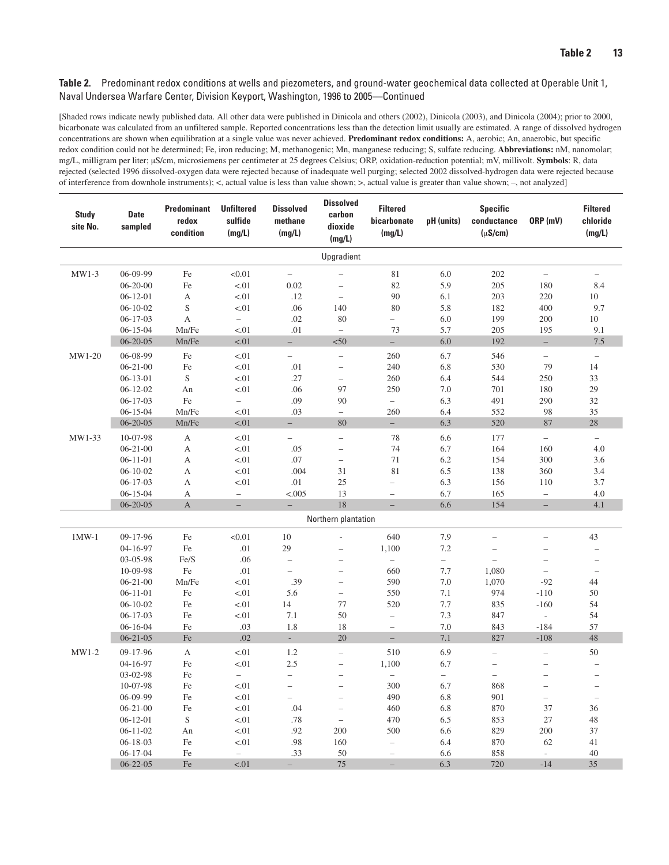| <b>Study</b><br>site No. | <b>Date</b><br>sampled     | <b>Predominant</b><br>redox<br>condition | <b>Unfiltered</b><br>sulfide<br>(mg/L) | <b>Dissolved</b><br>methane<br>(mg/L) | <b>Dissolved</b><br>carbon<br>dioxide<br>(mg/L)      | <b>Filtered</b><br>bicarbonate<br>(mg/L) | pH (units)               | <b>Specific</b><br>conductance<br>$(\mu S/cm)$ | ORP (mV)                          | <b>Filtered</b><br>chloride<br>(mg/L) |
|--------------------------|----------------------------|------------------------------------------|----------------------------------------|---------------------------------------|------------------------------------------------------|------------------------------------------|--------------------------|------------------------------------------------|-----------------------------------|---------------------------------------|
|                          |                            |                                          |                                        |                                       | Upgradient                                           |                                          |                          |                                                |                                   |                                       |
| $MW1-3$                  | 06-09-99                   | Fe                                       | < 0.01                                 | $\qquad \qquad -$                     | $\overline{\phantom{0}}$                             | $8\sqrt{1}$                              | 6.0                      | 202                                            | $\overline{\phantom{0}}$          | $\qquad \qquad -$                     |
|                          | $06 - 20 - 00$             | $\rm Fe$                                 | $< 01$                                 | 0.02                                  | $\overline{\phantom{0}}$                             | 82                                       | 5.9                      | 205                                            | 180                               | 8.4                                   |
|                          | $06-12-01$                 | А                                        | < 01                                   | .12                                   | $\qquad \qquad -$                                    | 90                                       | 6.1                      | 203                                            | 220                               | 10                                    |
|                          | $06-10-02$                 | $\mathbf S$                              | $-.01$                                 | .06                                   | 140                                                  | 80                                       | 5.8                      | 182                                            | 400                               | 9.7                                   |
|                          | $06-17-03$                 | $\mathbf{A}$                             | $\overline{\phantom{0}}$               | .02                                   | 80                                                   | $\overline{\phantom{0}}$                 | 6.0                      | 199                                            | 200                               | 10                                    |
|                          | $06 - 15 - 04$             | Mn/Fe                                    | < 01                                   | .01                                   | $\bar{ }$                                            | 73                                       | 5.7                      | 205                                            | 195                               | 9.1                                   |
|                          | $06 - 20 - 05$             | Mn/Fe                                    | $< 01$                                 | $\equiv$                              | < 50                                                 | $\equiv$                                 | 6.0                      | 192                                            | $\equiv$                          | $7.5\,$                               |
| $MW1-20$                 | 06-08-99                   | Fe                                       | < 01                                   | $\qquad \qquad -$                     | $\overline{\phantom{a}}$                             | 260                                      | 6.7                      | 546                                            | $\qquad \qquad -$                 | $\qquad \qquad -$                     |
|                          | $06 - 21 - 00$             | $\rm Fe$                                 | < 01                                   | .01                                   | $\overline{\phantom{0}}$                             | 240                                      | 6.8                      | 530                                            | 79                                | 14                                    |
|                          | $06-13-01$                 | $\mathbf S$                              | < 01                                   | .27                                   | $\qquad \qquad -$                                    | 260                                      | 6.4                      | 544                                            | 250                               | 33                                    |
|                          | $06 - 12 - 02$             | An                                       | $-.01$                                 | .06                                   | 97                                                   | 250                                      | 7.0                      | 701                                            | 180                               | 29                                    |
|                          | $06-17-03$                 | $\rm Fe$                                 | $\overline{\phantom{0}}$               | .09                                   | 90                                                   | $\overline{\phantom{0}}$                 | 6.3                      | 491                                            | 290                               | $32\,$                                |
|                          | $06 - 15 - 04$             | Mn/Fe                                    | < 01                                   | .03                                   | $\overline{\phantom{a}}$                             | 260                                      | 6.4                      | 552                                            | 98                                | 35                                    |
|                          | $06 - 20 - 05$             | Mn/Fe                                    | < 01                                   | $-$                                   | 80                                                   | $\equiv$                                 | 6.3                      | 520                                            | 87                                | 28                                    |
| MW1-33                   | 10-07-98                   | $\boldsymbol{A}$                         | $< 01$                                 | $\overline{\phantom{0}}$              | $\overline{\phantom{0}}$                             | 78                                       | 6.6                      | 177                                            | $\overline{\phantom{0}}$          | $\qquad \qquad -$                     |
|                          | $06 - 21 - 00$             | $\mathbf{A}$                             | < 01                                   | .05                                   | $\overline{\phantom{0}}$                             | 74                                       | 6.7                      | 164                                            | 160                               | 4.0                                   |
|                          | $06-11-01$                 | A                                        | $-.01$                                 | .07                                   | $\overline{\phantom{0}}$                             | 71                                       | 6.2                      | 154                                            | 300                               | 3.6                                   |
|                          | $06-10-02$                 | А                                        | < 01                                   | .004                                  | 31                                                   | 81                                       | 6.5                      | 138                                            | 360                               | 3.4                                   |
|                          | $06-17-03$                 | А                                        | < 01                                   | $.01\,$                               | 25                                                   | $\overline{\phantom{0}}$                 | 6.3                      | 156                                            | 110                               | 3.7                                   |
|                          | $06 - 15 - 04$             | А                                        | $\qquad \qquad -$                      | < .005                                | 13                                                   | $\overline{\phantom{0}}$                 | 6.7                      | 165                                            | $\qquad \qquad -$                 | 4.0                                   |
|                          | $06 - 20 - 05$             | $\mathbf{A}$                             | $\equiv$                               | $\qquad \qquad -$                     | 18                                                   | $\equiv$                                 | 6.6                      | 154                                            | $-$                               | 4.1                                   |
|                          |                            |                                          |                                        |                                       | Northern plantation                                  |                                          |                          |                                                |                                   |                                       |
| $1MW-1$                  | 09-17-96                   | Fe                                       | < 0.01                                 | 10                                    | $\overline{a}$                                       | 640                                      | 7.9                      | $\overline{\phantom{0}}$                       |                                   | 43                                    |
|                          | 04-16-97                   | Fe                                       | $.01\,$                                | 29                                    | $\overline{\phantom{0}}$                             | 1,100                                    | 7.2                      | $\overline{\phantom{0}}$                       | $\overline{\phantom{0}}$          | $\overline{\phantom{0}}$              |
|                          | 03-05-98                   | Fe/S                                     | .06                                    | $\qquad \qquad -$                     | $\qquad \qquad -$                                    |                                          | $\qquad \qquad -$        | $\overline{\phantom{0}}$                       | -                                 | $\qquad \qquad -$                     |
|                          | 10-09-98<br>$06 - 21 - 00$ | $\rm Fe$<br>Mn/Fe                        | $.01\,$<br>< 01                        | $\overline{\phantom{0}}$<br>.39       | $\overline{\phantom{0}}$<br>$\overline{\phantom{0}}$ | 660<br>590                               | 7.7<br>7.0               | 1,080<br>1,070                                 | $\overline{\phantom{0}}$<br>$-92$ | $\qquad \qquad -$<br>44               |
|                          | $06-11-01$                 | $\rm Fe$                                 | < 01                                   | 5.6                                   | $\overline{\phantom{a}}$                             | 550                                      | 7.1                      | 974                                            | $-110$                            | 50                                    |
|                          | $06-10-02$                 | $\rm Fe$                                 | $-.01$                                 | 14                                    | 77                                                   | 520                                      | 7.7                      | 835                                            | $-160$                            | 54                                    |
|                          | $06-17-03$                 | Fe                                       | $-.01$                                 | 7.1                                   | 50                                                   | $\overline{\phantom{0}}$                 | 7.3                      | 847                                            | $\overline{\phantom{a}}$          | 54                                    |
|                          | $06-16-04$                 | $\rm Fe$                                 | .03                                    | 1.8                                   | 18                                                   | $\overline{\phantom{m}}$                 | 7.0                      | 843                                            | $-184$                            | 57                                    |
|                          | $06 - 21 - 05$             | Fe                                       | .02                                    | $\mathcal{L}_{\mathcal{A}}$           | 20                                                   | $\equiv$                                 | 7.1                      | 827                                            | $-108$                            | $48\,$                                |
| $MW1-2$                  | 09-17-96                   | A                                        | < 01                                   | 1.2                                   | $\overline{\phantom{0}}$                             | 510                                      | 6.9                      | $\overline{\phantom{0}}$                       | $\overline{\phantom{0}}$          | 50                                    |
|                          | 04-16-97                   | $\rm Fe$                                 | $-.01$                                 | $2.5\,$                               | $\qquad \qquad -$                                    | 1,100                                    | 6.7                      | $\qquad \qquad -$                              |                                   |                                       |
|                          | 03-02-98                   | Fe                                       | $\overline{\phantom{0}}$               | $\qquad \qquad -$                     | $\overline{a}$                                       | $\qquad \qquad -$                        | $\overline{\phantom{0}}$ | $\overline{\phantom{0}}$                       |                                   |                                       |
|                          | 10-07-98                   | Fe                                       | < 01                                   |                                       |                                                      | 300                                      | 6.7                      | 868                                            |                                   |                                       |
|                          | 06-09-99                   | Fe                                       | < 01                                   | $-$                                   | $\overline{\phantom{m}}$                             | 490                                      | 6.8                      | 901                                            | $\overline{\phantom{0}}$          | $\overline{\phantom{m}}$              |
|                          | $06 - 21 - 00$             | Fe                                       | < 01                                   | .04                                   | $\overline{\phantom{m}}$                             | 460                                      | 6.8                      | 870                                            | 37                                | 36                                    |
|                          | $06-12-01$                 | ${\bf S}$                                | < 01                                   | .78                                   | $\overline{\phantom{m}}$                             | 470                                      | 6.5                      | 853                                            | 27                                | 48                                    |
|                          | $06-11-02$                 | An                                       | < 01                                   | .92                                   | 200                                                  | 500                                      | 6.6                      | 829                                            | 200                               | 37                                    |
|                          | $06 - 18 - 03$             | Fe                                       | $-.01$                                 | .98                                   | 160                                                  | $\overline{\phantom{a}}$                 | 6.4                      | 870                                            | 62                                | 41                                    |
|                          | $06-17-04$                 | Fe                                       | $-$                                    | .33                                   | 50                                                   | $\overline{\phantom{a}}$                 | 6.6                      | 858                                            | $\sim$                            | 40                                    |
|                          | $06 - 22 - 05$             | Fe                                       | < .01                                  | $-$                                   | 75                                                   | $\equiv$                                 | 6.3                      | 720                                            | $-14$                             | 35                                    |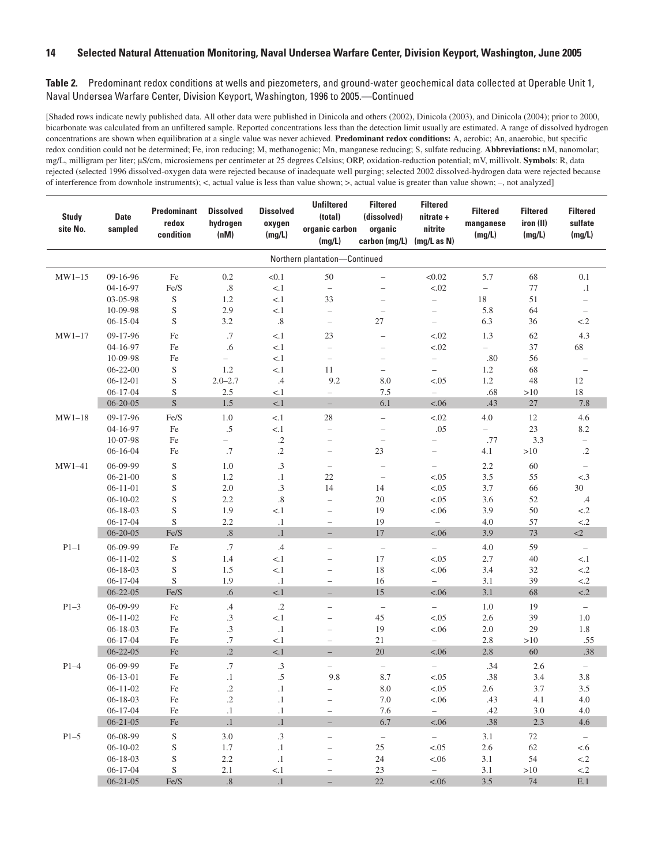| <b>Study</b><br>site No. | <b>Date</b><br>sampled | <b>Predominant</b><br>redox<br>condition | <b>Dissolved</b><br>hydrogen<br>(nM) | <b>Dissolved</b><br>oxygen<br>(mg/L) | <b>Unfiltered</b><br>(total)<br>organic carbon<br>(mg/L) | <b>Filtered</b><br>(dissolved)<br>organic<br>carbon (mg/L) | <b>Filtered</b><br>nitrate +<br>nitrite<br>(mg/L as N) | <b>Filtered</b><br>manganese<br>(mg/L) | <b>Filtered</b><br>iron (II)<br>(mg/L) | <b>Filtered</b><br>sulfate<br>(mg/L) |
|--------------------------|------------------------|------------------------------------------|--------------------------------------|--------------------------------------|----------------------------------------------------------|------------------------------------------------------------|--------------------------------------------------------|----------------------------------------|----------------------------------------|--------------------------------------|
|                          |                        |                                          |                                      |                                      | Northern plantation-Continued                            |                                                            |                                                        |                                        |                                        |                                      |
| $MW1-15$                 | 09-16-96               | Fe                                       | $0.2\,$                              | < 0.1                                | 50                                                       | $\overline{\phantom{0}}$                                   | < 0.02                                                 | 5.7                                    | 68                                     | 0.1                                  |
|                          | 04-16-97               | Fe/S                                     | $.8\,$                               | < 1                                  | $\overline{\phantom{a}}$                                 | $\overline{\phantom{0}}$                                   | < .02                                                  | $\overline{\phantom{0}}$               | 77                                     | $\cdot$ 1                            |
|                          | 03-05-98               | S                                        | 1.2                                  | < 1                                  | 33                                                       | $\overline{\phantom{0}}$                                   | $\overline{\phantom{0}}$                               | 18                                     | 51                                     | $\qquad \qquad -$                    |
|                          | 10-09-98               | $\mathbf S$                              | 2.9                                  | < 1                                  | $\overline{\phantom{0}}$                                 | $\overline{\phantom{0}}$                                   | $\overline{\phantom{0}}$                               | 5.8                                    | 64                                     | $\overline{\phantom{a}}$             |
|                          | $06 - 15 - 04$         | S                                        | 3.2                                  | $.8\,$                               | $\qquad \qquad -$                                        | 27                                                         | $\qquad \qquad -$                                      | 6.3                                    | 36                                     | < 2                                  |
| $MW1-17$                 | 09-17-96               | $\rm Fe$                                 | .7                                   | < 1                                  | 23                                                       | $\qquad \qquad -$                                          | < .02                                                  | 1.3                                    | 62                                     | 4.3                                  |
|                          | 04-16-97               | $\rm Fe$                                 | .6                                   | < 1                                  | $\overline{\phantom{0}}$                                 | $\overline{\phantom{0}}$                                   | < .02                                                  | $\overline{\phantom{0}}$               | 37                                     | 68                                   |
|                          | 10-09-98               | Fe                                       | $\overline{\phantom{0}}$             | < 1                                  | $\overline{\phantom{0}}$                                 | $\overline{\phantom{0}}$                                   | $\overline{\phantom{0}}$                               | .80                                    | 56                                     | $\qquad \qquad -$                    |
|                          | $06 - 22 - 00$         | S                                        | 1.2                                  | < 1                                  | 11                                                       | $\qquad \qquad -$                                          | $\overline{\phantom{0}}$                               | 1.2                                    | 68                                     | $\overline{\phantom{0}}$             |
|                          | $06-12-01$             | $\mathbf S$                              | $2.0 - 2.7$                          | .4                                   | 9.2                                                      | 8.0                                                        | < 0.05                                                 | 1.2                                    | 48                                     | 12                                   |
|                          | $06 - 17 - 04$         | S                                        | 2.5                                  | < 1                                  | $\qquad \qquad -$                                        | 7.5                                                        | $\overline{\phantom{0}}$                               | .68                                    | >10                                    | 18                                   |
|                          | $06 - 20 - 05$         | S                                        | $1.5\,$                              | < 1                                  | $-$                                                      | 6.1                                                        | < .06                                                  | .43                                    | 27                                     | 7.8                                  |
| $MW1-18$                 | 09-17-96               | Fe/S                                     | 1.0                                  | < 1                                  | 28                                                       | $\overline{\phantom{0}}$                                   | < .02                                                  | 4.0                                    | 12                                     | 4.6                                  |
|                          | 04-16-97               | Fe                                       | .5                                   | < 1                                  | $\overline{\phantom{0}}$                                 | $\overline{\phantom{0}}$                                   | .05                                                    | $\overline{\phantom{0}}$               | $23\,$                                 | 8.2                                  |
|                          | 10-07-98               | Fe                                       | $\overline{\phantom{0}}$             | $\cdot$ .2                           | $\overline{\phantom{0}}$                                 | $\qquad \qquad -$                                          | $\overline{\phantom{0}}$                               | .77                                    | 3.3                                    | $\overline{\phantom{0}}$             |
|                          | $06 - 16 - 04$         | Fe                                       | .7                                   | $\cdot$                              | $\overline{\phantom{0}}$                                 | 23                                                         | $\qquad \qquad -$                                      | 4.1                                    | >10                                    | $\cdot$ .2                           |
| $MW1-41$                 | 06-09-99               | $\mathbf S$                              | 1.0                                  | $\cdot$ 3                            | $\overline{\phantom{0}}$                                 | $\overline{\phantom{0}}$                                   | $\qquad \qquad -$                                      | 2.2                                    | 60                                     | $\qquad \qquad -$                    |
|                          | $06 - 21 - 00$         | $\mathbf S$                              | 1.2                                  | $\cdot$ 1                            | 22                                                       | $\overline{\phantom{0}}$                                   | < 0.05                                                 | 3.5                                    | 55                                     | < .3                                 |
|                          | $06-11-01$             | S                                        | $2.0\,$                              | .3                                   | 14                                                       | 14                                                         | < .05                                                  | 3.7                                    | 66                                     | 30                                   |
|                          | $06 - 10 - 02$         | $\mathbf S$                              | 2.2                                  | $\boldsymbol{.8}$                    | $\overline{\phantom{0}}$                                 | 20                                                         | < .05                                                  | 3.6                                    | 52                                     | $.4\phantom{0}$                      |
|                          | $06 - 18 - 03$         | $\mathbf S$                              | 1.9                                  | < 1                                  | $\overline{\phantom{0}}$                                 | 19                                                         | < .06                                                  | 3.9                                    | 50                                     | $< 2$                                |
|                          | $06 - 17 - 04$         | S                                        | 2.2                                  | $\cdot$ 1                            | $\qquad \qquad -$                                        | 19                                                         | $\overline{\phantom{0}}$                               | 4.0                                    | 57                                     | ${<}.2\,$                            |
|                          | $06 - 20 - 05$         | Fe/S                                     | $.8\,$                               | $\cdot$ 1                            | $\overline{\phantom{0}}$                                 | 17                                                         | < .06                                                  | 3.9                                    | 73                                     | $\leq$ 2                             |
| $P1-1$                   | 06-09-99               | Fe                                       | .7                                   | .4                                   | $\overline{\phantom{0}}$                                 | $\overline{\phantom{0}}$                                   | $\overline{\phantom{0}}$                               | 4.0                                    | 59                                     | $\qquad \qquad -$                    |
|                          | $06 - 11 - 02$         | $\mathbf S$                              | 1.4                                  | < 1                                  | $\overline{\phantom{0}}$                                 | 17                                                         | < .05                                                  | 2.7                                    | 40                                     | < 1                                  |
|                          | $06 - 18 - 03$         | $\mathbf S$                              | 1.5                                  | < 1                                  | $\overline{\phantom{0}}$                                 | 18                                                         | < .06                                                  | 3.4                                    | 32                                     | $\leq$ 2                             |
|                          | $06 - 17 - 04$         | S                                        | 1.9                                  | $\cdot$ 1                            | $\qquad \qquad -$                                        | 16                                                         | $\overline{\phantom{a}}$                               | 3.1                                    | 39                                     | $< 2$                                |
|                          | $06 - 22 - 05$         | Fe/S                                     | $.6\,$                               | < 1                                  | $-$                                                      | 15                                                         | < .06                                                  | 3.1                                    | 68                                     | < .2                                 |
| $P1-3$                   | 06-09-99               | Fe                                       | .4                                   | $\cdot$ .2                           | -                                                        | $\overline{\phantom{0}}$                                   | $\overline{\phantom{a}}$                               | 1.0                                    | 19                                     | $\qquad \qquad -$                    |
|                          | $06 - 11 - 02$         | $\rm Fe$                                 | $\cdot$ 3                            | < 1                                  | $\overline{a}$                                           | 45                                                         | < .05                                                  | 2.6                                    | 39                                     | 1.0                                  |
|                          | $06 - 18 - 03$         | $\rm Fe$                                 | $\cdot$ 3                            | $\cdot$ 1                            | $\equiv$                                                 | 19                                                         | < .06                                                  | 2.0                                    | 29                                     | 1.8                                  |
|                          | $06 - 17 - 04$         | Fe                                       | .7                                   | < 1                                  | $\qquad \qquad -$                                        | 21                                                         | $\overline{\phantom{0}}$                               | 2.8                                    | >10                                    | .55                                  |
|                          | $06 - 22 - 05$         | $\rm Fe$                                 | $\cdot$ .2                           | < 1                                  |                                                          | 20                                                         | < .06                                                  | 2.8                                    | 60                                     | .38                                  |
| $P1-4$                   | 06-09-99               | Fe                                       | .7                                   | .3                                   | -                                                        | $\qquad \qquad -$                                          | $\overline{\phantom{0}}$                               | .34                                    | 2.6                                    | $\qquad \qquad -$                    |
|                          | $06 - 13 - 01$         | $\rm Fe$                                 | $\cdot$                              | $.5\,$                               | 9.8                                                      | 8.7                                                        | < 0.05                                                 | .38                                    | 3.4                                    | 3.8                                  |
|                          | $06-11-02$             | $\rm Fe$                                 | $\cdot$                              | $\cdot$ 1                            |                                                          | $8.0\,$                                                    | < .05                                                  | $2.6\phantom{0}$                       | 3.7                                    | $3.5\,$                              |
|                          | $06 - 18 - 03$         | Fe                                       | $\cdot$ .2                           | $\cdot$                              | -                                                        | 7.0                                                        | < 0.06                                                 | .43                                    | 4.1                                    | 4.0                                  |
|                          | $06 - 17 - 04$         | Fe                                       | $\cdot$ 1                            | $\cdot$ 1                            | $\overline{\phantom{0}}$                                 | 7.6                                                        | $\overline{a}$                                         | .42                                    | 3.0                                    | 4.0                                  |
|                          | $06 - 21 - 05$         | $\rm Fe$                                 | $\cdot$ 1                            | $\cdot$ 1                            |                                                          | 6.7                                                        | < .06                                                  | .38                                    | 2.3                                    | 4.6                                  |
| $P1-5$                   | 06-08-99               | ${\bf S}$                                | $3.0\,$                              | $.3\phantom{0}$                      | $\overline{\phantom{0}}$                                 | $\frac{1}{2}$                                              | $\frac{1}{2}$                                          | 3.1                                    | 72                                     | $\overline{\phantom{a}}$             |
|                          | $06 - 10 - 02$         | ${\bf S}$                                | 1.7                                  | $\cdot$ 1                            | $\overline{\phantom{0}}$                                 | 25                                                         | < 0.05                                                 | 2.6                                    | 62                                     | < .6                                 |
|                          | $06 - 18 - 03$         | S                                        | $2.2\,$                              | $.1\,$                               | -                                                        | 24                                                         | < .06                                                  | 3.1                                    | 54                                     | $<\!\! .2$                           |
|                          | $06 - 17 - 04$         | S                                        | 2.1                                  | $< 1$                                | $\qquad \qquad -$                                        | 23                                                         | $\overline{\phantom{0}}$                               | 3.1                                    | $>10$                                  | ${<}.2\,$                            |
|                          | $06 - 21 - 05$         | Fe/S                                     | $.8\,$                               | $\cdot$ 1                            | $-$                                                      | $22\,$                                                     | < .06                                                  | 3.5                                    | $74\,$                                 | E.1                                  |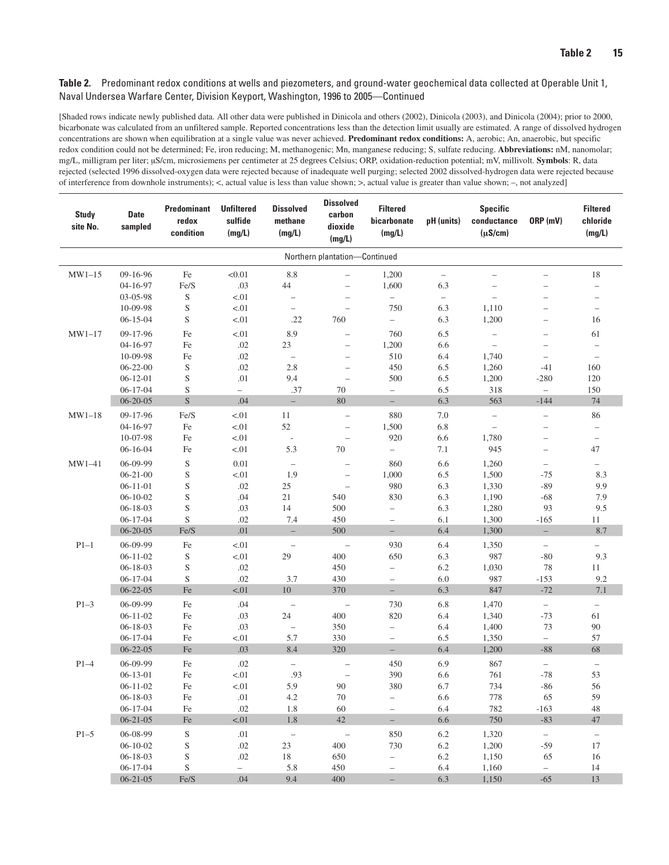| <b>Study</b><br>site No. | <b>Date</b><br>sampled           | Predominant<br>redox<br>condition | <b>Unfiltered</b><br>sulfide<br>(mg/L) | <b>Dissolved</b><br>methane<br>(mg/L) | <b>Dissolved</b><br>carbon<br>dioxide<br>(mg/L) | <b>Filtered</b><br>bicarbonate<br>(mg/L) | pH (units)               | <b>Specific</b><br>conductance<br>$(\mu S/cm)$ | ORP (mV)                          | <b>Filtered</b><br>chloride<br>(mg/L) |
|--------------------------|----------------------------------|-----------------------------------|----------------------------------------|---------------------------------------|-------------------------------------------------|------------------------------------------|--------------------------|------------------------------------------------|-----------------------------------|---------------------------------------|
|                          |                                  |                                   |                                        |                                       | Northern plantation-Continued                   |                                          |                          |                                                |                                   |                                       |
| $MW1-15$                 | 09-16-96                         | Fe                                | < 0.01                                 | 8.8                                   |                                                 | 1,200                                    | $\overline{\phantom{0}}$ |                                                |                                   | 18                                    |
|                          | 04-16-97                         | Fe/S                              | .03                                    | $44$                                  | $\overline{\phantom{0}}$                        | 1,600                                    | 6.3                      | $\overline{\phantom{a}}$                       |                                   | $\overline{\phantom{0}}$              |
|                          | 03-05-98                         | S                                 | < 01                                   | $\overline{\phantom{0}}$              |                                                 | $\overline{\phantom{0}}$                 | $\overline{\phantom{0}}$ | $\overline{\phantom{0}}$                       |                                   | $\qquad \qquad -$                     |
|                          | 10-09-98                         | ${\mathbf S}$                     | < 01                                   | $\overline{\phantom{0}}$              |                                                 | 750                                      | 6.3                      | 1,110                                          |                                   | $\overline{\phantom{0}}$              |
|                          | $06 - 15 - 04$                   | $\mathbf S$                       | < 01                                   | .22                                   | 760                                             | $\overline{\phantom{0}}$                 | 6.3                      | 1,200                                          | $\overline{\phantom{0}}$          | 16                                    |
| $MW1-17$                 | 09-17-96                         | Fe                                | < 01                                   | 8.9                                   | $\overline{\phantom{0}}$                        | 760                                      | 6.5                      | $\overline{\phantom{0}}$                       |                                   | 61                                    |
|                          | 04-16-97                         | Fe                                | .02                                    | 23                                    | $\qquad \qquad -$                               | 1,200                                    | 6.6                      | $\qquad \qquad -$                              |                                   | $\overline{\phantom{0}}$              |
|                          | 10-09-98                         | Fe                                | .02                                    | $\overline{\phantom{0}}$              | $\qquad \qquad -$                               | 510                                      | 6.4                      | 1,740                                          | $\qquad \qquad -$                 | $\qquad \qquad -$                     |
|                          | $06 - 22 - 00$                   | $\mathbf S$                       | $.02\,$                                | 2.8                                   | $\overline{\phantom{0}}$                        | 450                                      | 6.5                      | 1,260                                          | $-41$                             | 160                                   |
|                          | $06-12-01$                       | $\mathbf S$                       | .01                                    | 9.4                                   | $\overline{\phantom{0}}$                        | 500                                      | 6.5                      | 1,200                                          | $-280$                            | 120                                   |
|                          | $06 - 17 - 04$                   | S                                 | $\overline{\phantom{0}}$               | .37                                   | 70                                              | $\qquad \qquad -$                        | 6.5                      | 318                                            | $\overline{\phantom{0}}$          | 150                                   |
|                          | $06 - 20 - 05$                   | $\mathbf S$                       | .04                                    | $-$                                   | 80                                              | $-$                                      | 6.3                      | 563                                            | $-144$                            | 74                                    |
| $MW1-18$                 | 09-17-96                         | Fe/S                              | < 01                                   | 11                                    | $\overline{\phantom{0}}$                        | 880                                      | 7.0                      | $\overline{\phantom{0}}$                       | $\qquad \qquad -$                 | 86                                    |
|                          | 04-16-97                         | $\rm Fe$                          | < 01                                   | 52                                    | $\overline{\phantom{0}}$                        | 1,500                                    | 6.8                      | $\overline{\phantom{0}}$                       |                                   | $\qquad \qquad -$                     |
|                          | 10-07-98                         | Fe                                | < 01                                   | $\overline{\phantom{a}}$              | $\overline{\phantom{0}}$                        | 920                                      | 6.6                      | 1,780                                          | $\overline{\phantom{0}}$          | $\qquad \qquad -$                     |
|                          | $06 - 16 - 04$                   | Fe                                | < 01                                   | 5.3                                   | 70                                              | $\qquad \qquad -$                        | 7.1                      | 945                                            | $\overline{\phantom{0}}$          | 47                                    |
| $MW1-41$                 | 06-09-99                         | $\mathbf S$                       | 0.01                                   | $\overline{\phantom{m}}$              | $\overline{\phantom{0}}$                        | 860                                      | 6.6                      | 1,260                                          | $\overline{\phantom{0}}$          | $\overline{\phantom{0}}$              |
|                          | $06 - 21 - 00$                   | S                                 | < 01                                   | 1.9                                   | $\qquad \qquad -$                               | 1,000                                    | 6.5                      | 1,500                                          | $-75$                             | 8.3                                   |
|                          | $06 - 11 - 01$<br>$06 - 10 - 02$ | $\mathbf S$<br>$\mathbf S$        | .02<br>.04                             | $25\,$<br>$21\,$                      | $\qquad \qquad -$                               | 980<br>830                               | 6.3<br>6.3               | 1,330                                          | $-89$<br>$-68$                    | 9.9<br>7.9                            |
|                          | $06 - 18 - 03$                   | $\mathbf S$                       | .03                                    | 14                                    | 540<br>500                                      | $\overline{\phantom{0}}$                 | 6.3                      | 1,190<br>1,280                                 | 93                                | 9.5                                   |
|                          | $06-17-04$                       | $\mathbf S$                       | .02                                    | 7.4                                   | 450                                             | $\overline{\phantom{0}}$                 | 6.1                      | 1,300                                          | $-165$                            | 11                                    |
|                          | $06 - 20 - 05$                   | Fe/S                              | .01                                    | $\overline{\phantom{0}}$              | 500                                             | $\overline{\phantom{0}}$                 | 6.4                      | 1,300                                          | $\overline{\phantom{0}}$          | 8.7                                   |
| $P1-1$                   | 06-09-99                         | Fe                                | < 01                                   | $\qquad \qquad -$                     | $\overline{\phantom{a}}$                        | 930                                      | 6.4                      | 1,350                                          | $\overline{\phantom{a}}$          | -                                     |
|                          | $06 - 11 - 02$                   | $\mathbf S$                       | $-.01$                                 | 29                                    | 400                                             | 650                                      | 6.3                      | 987                                            | $-80$                             | 9.3                                   |
|                          | $06 - 18 - 03$                   | $\mathbf S$                       | .02                                    |                                       | 450                                             | $\overline{\phantom{0}}$                 | 6.2                      | 1,030                                          | 78                                | 11                                    |
|                          | $06 - 17 - 04$                   | S                                 | .02                                    | 3.7                                   | 430                                             | $\overline{\phantom{0}}$                 | 6.0                      | 987                                            | $-153$                            | 9.2                                   |
|                          | $06 - 22 - 05$                   | $\rm Fe$                          | < .01                                  | $10\,$                                | 370                                             | $\overline{\phantom{0}}$                 | 6.3                      | 847                                            | $-72$                             | 7.1                                   |
| $P1-3$                   | 06-09-99                         | Fe                                | .04                                    | $\overline{\phantom{m}}$              | $\qquad \qquad -$                               | 730                                      | 6.8                      | 1,470                                          | $\overline{\phantom{0}}$          | $\qquad \qquad -$                     |
|                          | $06 - 11 - 02$                   | Fe                                | .03                                    | 24                                    | 400                                             | 820                                      | 6.4                      | 1,340                                          | $-73$                             | 61                                    |
|                          | $06 - 18 - 03$                   | Fe                                | .03                                    | $\qquad \qquad -$                     | 350                                             | $\overline{\phantom{0}}$                 | 6.4                      | 1,400                                          | 73                                | 90                                    |
|                          | $06 - 17 - 04$                   | Fe                                | < 01                                   | 5.7                                   | 330                                             | $\overline{\phantom{0}}$                 | 6.5                      | 1,350                                          | $\overline{\phantom{a}}$          | 57                                    |
|                          | $06 - 22 - 05$                   | $\rm Fe$                          | .03                                    | 8.4                                   | 320                                             | $-$                                      | 6.4                      | 1,200                                          | $-88$                             | 68                                    |
| $P1-4$                   | 06-09-99                         | $\rm Fe$                          | $.02\,$                                | $\qquad \qquad -$                     |                                                 | 450                                      | 6.9                      | 867                                            | $\qquad \qquad -$                 | $\qquad \qquad -$                     |
|                          | $06 - 13 - 01$                   | $\rm Fe$                          | < 01                                   | .93                                   |                                                 | 390                                      | 6.6                      | 761                                            | $-78$                             | 53                                    |
|                          | $06-11-02$                       | $\rm Fe$                          | $-.01$                                 | 5.9                                   | 90                                              | 380                                      | 6.7                      | 734                                            | $-86$                             | 56                                    |
|                          | $06 - 18 - 03$                   | Fe                                | .01                                    | 4.2                                   | 70                                              | $\qquad \qquad -$                        | 6.6                      | 778                                            | 65                                | 59                                    |
|                          | $06 - 17 - 04$                   | Fe                                | .02                                    | 1.8                                   | 60                                              | $\overline{\phantom{0}}$                 | 6.4                      | 782                                            | $-163$                            | 48                                    |
|                          | $06 - 21 - 05$                   | $\rm Fe$                          | < 01                                   | 1.8                                   | 42                                              | $\equiv$                                 | 6.6                      | 750                                            | $-83$                             | 47                                    |
| $P1-5$                   | 06-08-99                         | $\mathbf S$                       | .01                                    | $\equiv$                              | $\hspace{0.1mm}-\hspace{0.1mm}$                 | 850                                      | 6.2                      | 1,320                                          | $\equiv$                          | $\overline{\phantom{a}}$              |
|                          | $06 - 10 - 02$                   | S                                 | .02                                    | 23                                    | 400                                             | 730                                      | 6.2                      | 1,200                                          | $-59$                             | 17                                    |
|                          | $06 - 18 - 03$                   | S                                 | .02                                    | 18                                    | 650                                             | $\overline{\phantom{0}}$                 | 6.2                      | 1,150                                          | 65                                | 16                                    |
|                          | $06 - 17 - 04$<br>$06 - 21 - 05$ | S<br>Fe/S                         | $-$<br>.04                             | 5.8<br>9.4                            | 450<br>400                                      | $\overline{\phantom{0}}$                 | 6.4<br>6.3               | 1,160                                          | $\overline{\phantom{0}}$<br>$-65$ | 14<br>13                              |
|                          |                                  |                                   |                                        |                                       |                                                 | $\overline{\phantom{0}}$                 |                          | 1,150                                          |                                   |                                       |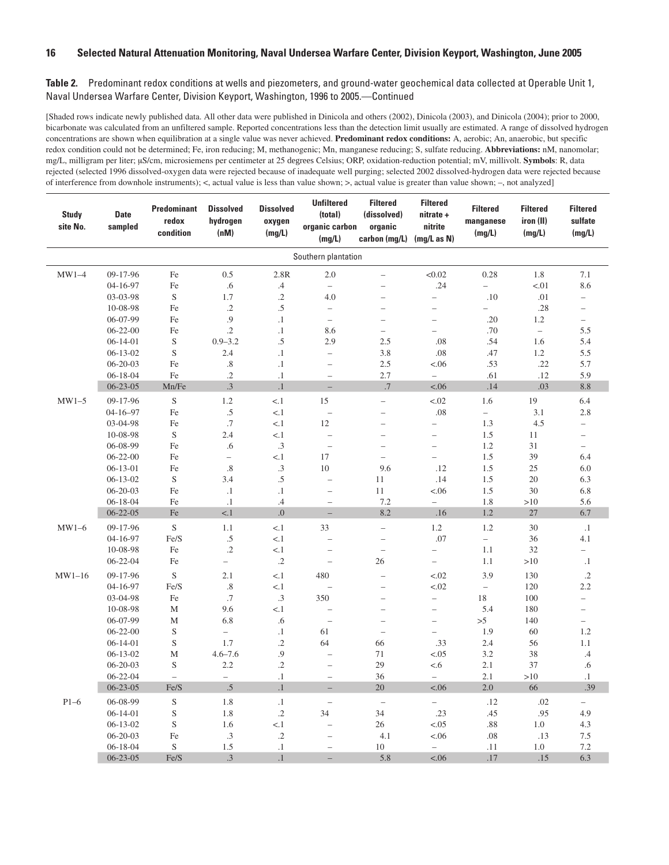| <b>Study</b><br>site No. | <b>Date</b><br>sampled | <b>Predominant</b><br>redox<br>condition | <b>Dissolved</b><br>hydrogen<br>(nM) | <b>Dissolved</b><br>oxygen<br>(mg/L) | <b>Unfiltered</b><br>(total)<br>organic carbon<br>(mg/L) | <b>Filtered</b><br>(dissolved)<br>organic<br>carbon (mg/L) | <b>Filtered</b><br>nitrate +<br>nitrite<br>(mg/L as N) | <b>Filtered</b><br>manganese<br>(mg/L) | <b>Filtered</b><br>iron (II)<br>(mg/L) | <b>Filtered</b><br>sulfate<br>(mg/L) |
|--------------------------|------------------------|------------------------------------------|--------------------------------------|--------------------------------------|----------------------------------------------------------|------------------------------------------------------------|--------------------------------------------------------|----------------------------------------|----------------------------------------|--------------------------------------|
|                          |                        |                                          |                                      |                                      | Southern plantation                                      |                                                            |                                                        |                                        |                                        |                                      |
| $MW1-4$                  | 09-17-96               | Fe                                       | 0.5                                  | 2.8R                                 | 2.0                                                      | $\overline{\phantom{0}}$                                   | < 0.02                                                 | 0.28                                   | 1.8                                    | 7.1                                  |
|                          | 04-16-97               | Fe                                       | .6                                   | $.4\,$                               | $\overline{\phantom{m}}$                                 |                                                            | .24                                                    | $\equiv$                               | < 01                                   | 8.6                                  |
|                          | 03-03-98               | $\mathbf S$                              | 1.7                                  | $\cdot$ .2                           | 4.0                                                      |                                                            | $\overline{a}$                                         | .10                                    | .01                                    | $\overline{\phantom{0}}$             |
|                          | 10-08-98               | Fe                                       | $\cdot$                              | $.5\,$                               | $\bar{ }$                                                | $\overline{\phantom{0}}$                                   | $\overline{\phantom{a}}$                               | $\overline{a}$                         | .28                                    | $\overline{\phantom{0}}$             |
|                          | 06-07-99               | Fe                                       | .9                                   | $\cdot$ 1                            | $\equiv$                                                 | $\overline{a}$                                             | $\overline{\phantom{0}}$                               | .20                                    | 1.2                                    | $\overline{\phantom{0}}$             |
|                          | $06 - 22 - 00$         | Fe                                       | $\cdot$ .2                           | $\cdot$ 1                            | 8.6                                                      | $\overline{\phantom{0}}$                                   | $\equiv$                                               | .70                                    | $\overline{\phantom{m}}$               | 5.5                                  |
|                          | $06-14-01$             | $\mathbf S$                              | $0.9 - 3.2$                          | $.5\,$                               | 2.9                                                      | 2.5                                                        | .08                                                    | .54                                    | 1.6                                    | 5.4                                  |
|                          | $06-13-02$             | $\mathbf S$                              | 2.4                                  | $\cdot$ 1                            | $\equiv$                                                 | 3.8                                                        | .08                                                    | .47                                    | 1.2                                    | 5.5                                  |
|                          | $06 - 20 - 03$         | Fe                                       | $.8\,$                               | $\cdot$ 1                            | $\overline{\phantom{0}}$                                 | 2.5                                                        | < .06                                                  | .53                                    | .22                                    | 5.7                                  |
|                          | $06 - 18 - 04$         | Fe                                       | $\cdot$                              | $\cdot$ 1                            | $\overline{\phantom{a}}$                                 | 2.7                                                        | $\equiv$                                               | .61                                    | .12                                    | 5.9                                  |
|                          | $06 - 23 - 05$         | Mn/Fe                                    | $\cdot$ 3                            | $\cdot$ 1                            |                                                          | .7                                                         | < .06                                                  | .14                                    | .03                                    | 8.8                                  |
| $MW1-5$                  | 09-17-96               | $\mathbf S$                              | $1.2\,$                              | < 1                                  | 15                                                       | $\overline{\phantom{0}}$                                   | < .02                                                  | 1.6                                    | 19                                     | 6.4                                  |
|                          | $04 - 16 - 97$         | Fe                                       | $.5\,$                               | < 1                                  | $\overline{\phantom{0}}$                                 | $\overline{\phantom{0}}$                                   | .08                                                    | $\overline{\phantom{0}}$               | 3.1                                    | 2.8                                  |
|                          | 03-04-98               | Fe                                       | .7                                   | < 1                                  | 12                                                       | $\overline{a}$                                             | $\overline{\phantom{0}}$                               | 1.3                                    | 4.5                                    | $\overline{\phantom{0}}$             |
|                          | 10-08-98               | $\mathbf S$                              | 2.4                                  | < 1                                  | $\overline{\phantom{0}}$                                 | $\overline{\phantom{0}}$                                   | $\qquad \qquad -$                                      | 1.5                                    | 11                                     | $\qquad \qquad -$                    |
|                          | 06-08-99               | Fe                                       | .6                                   | .3                                   | $\overline{\phantom{a}}$                                 | $\overline{\phantom{0}}$                                   | $\overline{\phantom{0}}$                               | 1.2                                    | 31                                     | $\equiv$                             |
|                          | $06 - 22 - 00$         | Fe                                       | $\overline{a}$                       | < 1                                  | 17                                                       | $\overline{a}$                                             | $\equiv$                                               | 1.5                                    | 39                                     | 6.4                                  |
|                          | $06-13-01$             | Fe                                       | .8                                   | .3                                   | 10                                                       | 9.6                                                        | .12                                                    | 1.5                                    | 25                                     | 6.0                                  |
|                          | $06-13-02$             | $\mathbf S$                              | 3.4                                  | $.5\,$                               | $\overline{\phantom{0}}$                                 | 11                                                         | .14                                                    | 1.5                                    | 20                                     | 6.3                                  |
|                          | $06 - 20 - 03$         | Fe                                       | $\cdot$ 1                            | $\cdot$ 1                            | $\overline{\phantom{0}}$                                 | 11                                                         | < .06                                                  | 1.5                                    | 30                                     | 6.8                                  |
|                          | 06-18-04               | Fe                                       | $\cdot$ 1                            | .4                                   | $\qquad \qquad -$                                        | 7.2                                                        | $\bar{ }$                                              | 1.8                                    | >10                                    | 5.6                                  |
|                          | $06 - 22 - 05$         | Fe                                       | < 1                                  | $.0\,$                               | $\overline{a}$                                           | 8.2                                                        | .16                                                    | 1.2                                    | 27                                     | 6.7                                  |
| $MW1-6$                  | 09-17-96               | $\mathbf S$                              | 1.1                                  | < 1                                  | 33                                                       | $\overline{a}$                                             | 1.2                                                    | 1.2                                    | 30                                     | $\cdot$ 1                            |
|                          | 04-16-97               | Fe/S                                     | $.5\,$                               | < 1                                  | $\overline{\phantom{0}}$                                 | $\overline{\phantom{0}}$                                   | .07                                                    | $\overline{\phantom{0}}$               | 36                                     | 4.1                                  |
|                          | 10-08-98               | Fe                                       | $\cdot$                              | < 1                                  | $\overline{\phantom{a}}$                                 | $\overline{\phantom{0}}$                                   | $\overline{\phantom{0}}$                               | 1.1                                    | 32                                     | $\overline{\phantom{0}}$             |
|                          | $06 - 22 - 04$         | Fe                                       | $\overline{\phantom{0}}$             | $\cdot$                              | $\overline{a}$                                           | 26                                                         | $\overline{\phantom{0}}$                               | 1.1                                    | >10                                    | $\cdot$ 1                            |
| $MW1-16$                 | 09-17-96               | S                                        | 2.1                                  | < 1                                  | 480                                                      | $\overline{\phantom{0}}$                                   | < .02                                                  | 3.9                                    | 130                                    | $\cdot$ .2                           |
|                          | 04-16-97               | Fe/S                                     | $.8\,$                               | < 1                                  |                                                          | $\overline{\phantom{0}}$                                   | < .02                                                  | $\overline{\phantom{0}}$               | 120                                    | 2.2                                  |
|                          | 03-04-98               | Fe                                       | .7                                   | .3                                   | 350                                                      | $\overline{\phantom{0}}$                                   | $\overline{\phantom{0}}$                               | 18                                     | 100                                    | $\overline{\phantom{0}}$             |
|                          | 10-08-98               | M                                        | 9.6                                  | < 1                                  | $\overline{a}$                                           | $\overline{a}$                                             | $\qquad \qquad -$                                      | 5.4                                    | 180                                    | $\qquad \qquad -$                    |
|                          | 06-07-99               | M                                        | 6.8                                  | .6                                   |                                                          | $\overline{\phantom{0}}$                                   | $\qquad \qquad -$                                      | >5                                     | 140                                    | $\overline{\phantom{0}}$             |
|                          | $06 - 22 - 00$         | $\mathbf S$                              | $\bar{ }$                            | $\cdot$ 1                            | 61                                                       | $\qquad \qquad -$                                          | $\overline{a}$                                         | 1.9                                    | 60                                     | 1.2                                  |
|                          | $06 - 14 - 01$         | $\mathbf S$                              | 1.7                                  | $\cdot$ .2                           | 64                                                       | 66                                                         | .33                                                    | 2.4                                    | 56                                     | 1.1                                  |
|                          | $06-13-02$             | M                                        | $4.6 - 7.6$                          | .9                                   | $\overline{\phantom{0}}$                                 | 71                                                         | < .05                                                  | 3.2                                    | 38                                     | .4                                   |
|                          | $06 - 20 - 03$         | $\mathbf S$                              | 2.2                                  | $\cdot$ .2                           | $\overline{\phantom{0}}$                                 | 29                                                         | < 6                                                    | 2.1                                    | 37                                     | .6                                   |
|                          | $06 - 22 - 04$         | $\overline{a}$                           | $\overline{a}$                       | $\cdot$ 1                            | $\overline{\phantom{0}}$                                 | 36                                                         | $\overline{a}$                                         | 2.1                                    | >10                                    | $\cdot$ 1                            |
|                          | $06 - 23 - 05$         | Fe/S                                     | $.5\,$                               | $\cdot$ 1                            | $\overline{a}$                                           | 20                                                         | < .06                                                  | 2.0                                    | 66                                     | .39                                  |
| $P1-6$                   | 06-08-99               | $\mathbf S$                              | 1.8                                  | $\cdot$ 1                            | $\overline{\phantom{0}}$                                 | $\overline{a}$                                             | $\frac{1}{2}$                                          | .12                                    | .02                                    | $\overline{a}$                       |
|                          | $06-14-01$             | $\mathbf S$                              | 1.8                                  | $\cdot$ .2                           | 34                                                       | 34                                                         | .23                                                    | .45                                    | .95                                    | 4.9                                  |
|                          | $06-13-02$             | $\mathbf S$                              | 1.6                                  | < 1                                  | $\overline{\phantom{0}}$                                 | 26                                                         | $-.05$                                                 | .88                                    | 1.0                                    | 4.3                                  |
|                          | $06 - 20 - 03$         | Fe                                       | $\cdot$ 3                            | $\cdot$ .2                           | $\overline{a}$                                           | 4.1                                                        | < .06                                                  | .08                                    | .13                                    | 7.5                                  |
|                          | $06 - 18 - 04$         | S                                        | 1.5                                  | $\cdot$ 1                            | $\overline{a}$                                           | 10                                                         | $\equiv$                                               | .11                                    | 1.0                                    | 7.2                                  |
|                          | $06 - 23 - 05$         | Fe/S                                     | $.3\,$                               | $\cdot$ 1                            | $\overline{\phantom{0}}$                                 | 5.8                                                        | < .06                                                  | .17                                    | .15                                    | 6.3                                  |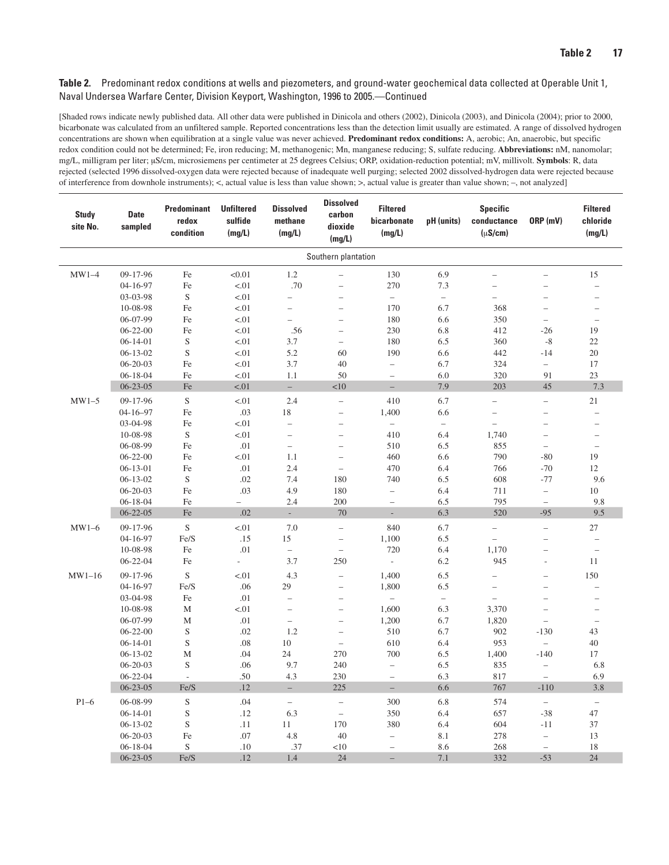| <b>Study</b><br>site No. | <b>Date</b><br>sampled           | <b>Predominant</b><br>redox<br>condition | <b>Unfiltered</b><br>sulfide<br>(mg/L) | <b>Dissolved</b><br>methane<br>(mg/L) | <b>Dissolved</b><br>carbon<br>dioxide<br>(mg/L) | <b>Filtered</b><br>bicarbonate<br>(mg/L)      | pH (units)               | <b>Specific</b><br>conductance<br>$(\mu S/cm)$ | ORP (mV)                                             | <b>Filtered</b><br>chloride<br>(mg/L) |
|--------------------------|----------------------------------|------------------------------------------|----------------------------------------|---------------------------------------|-------------------------------------------------|-----------------------------------------------|--------------------------|------------------------------------------------|------------------------------------------------------|---------------------------------------|
|                          |                                  |                                          |                                        |                                       | Southern plantation                             |                                               |                          |                                                |                                                      |                                       |
| $MW1-4$                  | 09-17-96                         | Fe                                       | < 0.01                                 | 1.2                                   | $\overline{\phantom{0}}$                        | 130                                           | 6.9                      | $\overline{\phantom{0}}$                       | $\overline{\phantom{0}}$                             | 15                                    |
|                          | 04-16-97                         | Fe                                       | < 01                                   | .70                                   | $\overline{a}$                                  | 270                                           | 7.3                      | $\overline{\phantom{0}}$                       | $\overline{\phantom{a}}$                             | $\overline{a}$                        |
|                          | 03-03-98                         | $\mathbf S$                              | < 01                                   | $\overline{\phantom{0}}$              | $\overline{a}$                                  | $\overline{\phantom{a}}$                      | $\overline{\phantom{0}}$ | $\overline{\phantom{0}}$                       | $\overline{\phantom{a}}$                             | $\overline{\phantom{0}}$              |
|                          | 10-08-98                         | Fe                                       | < 01                                   | $\overline{\phantom{0}}$              | $\overline{a}$                                  | 170                                           | 6.7                      | 368                                            | $\overline{\phantom{a}}$                             | $\overline{a}$                        |
|                          | 06-07-99                         | Fe                                       | < 01                                   | $\overline{\phantom{0}}$              | $\overline{a}$                                  | 180                                           | 6.6                      | 350                                            | $\overline{\phantom{0}}$                             | $\overline{\phantom{0}}$              |
|                          | $06 - 22 - 00$                   | Fe                                       | < 01                                   | .56                                   | $\overline{a}$                                  | 230                                           | 6.8                      | 412                                            | $-26$                                                | 19                                    |
|                          | $06 - 14 - 01$                   | $\mathbf S$                              | < 01                                   | 3.7                                   | $\overline{\phantom{0}}$                        | 180                                           | 6.5                      | 360                                            | $-8$                                                 | 22                                    |
|                          | $06 - 13 - 02$                   | $\mathbf S$                              | < 01                                   | 5.2                                   | 60                                              | 190                                           | 6.6                      | 442                                            | $-14$                                                | $20\,$                                |
|                          | $06 - 20 - 03$                   | Fe                                       | < 01                                   | 3.7                                   | 40                                              | $\overline{\phantom{0}}$                      | 6.7                      | 324                                            | $\overline{\phantom{0}}$                             | 17                                    |
|                          | $06 - 18 - 04$                   | Fe                                       | < 01                                   | 1.1                                   | 50                                              | $\qquad \qquad -$                             | 6.0                      | 320                                            | 91                                                   | 23                                    |
|                          | $06 - 23 - 05$                   | Fe                                       | < .01                                  | $\overline{\phantom{a}}$              | <10                                             | $\overline{a}$                                | 7.9                      | 203                                            | 45                                                   | 7.3                                   |
| $MW1-5$                  | 09-17-96                         | $\mathbf S$                              | < 01                                   | 2.4                                   | $\overline{a}$                                  | 410                                           | 6.7                      | $\equiv$                                       | $\overline{\phantom{0}}$                             | 21                                    |
|                          | $04 - 16 - 97$                   | Fe                                       | .03                                    | 18                                    | $\overline{a}$                                  | 1,400                                         | 6.6                      | $\overline{a}$                                 | $\overline{\phantom{0}}$                             | $\overline{\phantom{0}}$              |
|                          | 03-04-98                         | Fe                                       | < 01                                   | $\qquad \qquad -$                     | $\overline{a}$                                  | $\overline{\phantom{0}}$                      | $\overline{\phantom{0}}$ | $\overline{\phantom{0}}$                       | $\overline{\phantom{0}}$                             | $\overline{\phantom{0}}$              |
|                          | 10-08-98                         | $\mathbf S$                              | < 01                                   | $\overline{\phantom{0}}$              | $\overline{a}$                                  | 410                                           | 6.4                      | 1,740                                          | $\overline{\phantom{0}}$                             | $\overline{\phantom{0}}$              |
|                          | 06-08-99                         | Fe                                       | .01                                    | $\overline{\phantom{0}}$              | $\overline{a}$                                  | 510                                           | 6.5                      | 855                                            | $\overline{\phantom{0}}$                             | $\overline{a}$                        |
|                          | $06 - 22 - 00$                   | Fe                                       | < 01                                   | 1.1                                   | $\overline{\phantom{0}}$                        | 460                                           | 6.6                      | 790                                            | $-80$                                                | 19                                    |
|                          | $06-13-01$                       | Fe                                       | .01                                    | 2.4                                   | $\overline{a}$                                  | 470                                           | 6.4                      | 766                                            | $-70$                                                | 12                                    |
|                          | $06 - 13 - 02$                   | $\mathbf S$                              | .02                                    | 7.4                                   | 180                                             | 740                                           | 6.5                      | 608                                            | $-77$                                                | 9.6                                   |
|                          | $06 - 20 - 03$<br>$06 - 18 - 04$ | Fe<br>Fe                                 | .03<br>$\overline{\phantom{0}}$        | 4.9<br>2.4                            | 180<br>200                                      | $\qquad \qquad -$<br>$\overline{\phantom{0}}$ | 6.4<br>6.5               | 711<br>795                                     | $\overline{\phantom{m}}$<br>$\overline{\phantom{0}}$ | 10<br>9.8                             |
|                          | $06 - 22 - 05$                   | Fe                                       | .02                                    | L.                                    | 70                                              | $\Box$                                        | 6.3                      | 520                                            | $-95$                                                | 9.5                                   |
| $MW1-6$                  | 09-17-96                         | $\mathbf S$                              |                                        | 7.0                                   | $\overline{a}$                                  | 840                                           | 6.7                      | $\overline{\phantom{0}}$                       | $\equiv$                                             |                                       |
|                          | 04-16-97                         | Fe/S                                     | < 01<br>.15                            | 15                                    | $\overline{\phantom{0}}$                        | 1,100                                         | 6.5                      | $\overline{\phantom{0}}$                       | $\qquad \qquad -$                                    | 27<br>$\overline{\phantom{0}}$        |
|                          | 10-08-98                         | Fe                                       | .01                                    | $\equiv$                              | $\qquad \qquad -$                               | 720                                           | 6.4                      | 1,170                                          | $\overline{\phantom{0}}$                             | $\overline{\phantom{0}}$              |
|                          | $06 - 22 - 04$                   | Fe                                       | $\overline{a}$                         | 3.7                                   | 250                                             | $\overline{\phantom{a}}$                      | 6.2                      | 945                                            | L,                                                   | 11                                    |
| $MW1-16$                 | 09-17-96                         | S                                        | < 01                                   | 4.3                                   | $\equiv$                                        | 1,400                                         | 6.5                      | $\overline{a}$                                 | $\overline{\phantom{a}}$                             | 150                                   |
|                          | 04-16-97                         | Fe/S                                     | .06                                    | 29                                    | $\overline{\phantom{0}}$                        | 1,800                                         | 6.5                      | $\qquad \qquad -$                              | $\overline{\phantom{0}}$                             | ÷                                     |
|                          | 03-04-98                         | $\rm Fe$                                 | .01                                    | $\overline{\phantom{0}}$              | $\overline{a}$                                  | $\overline{\phantom{a}}$                      | $\overline{\phantom{0}}$ | $\overline{a}$                                 | $\overline{\phantom{0}}$                             | $\overline{\phantom{0}}$              |
|                          | 10-08-98                         | M                                        | < 01                                   | $\overline{\phantom{0}}$              | $\overline{a}$                                  | 1,600                                         | 6.3                      | 3,370                                          | $\overline{\phantom{0}}$                             | $\overline{\phantom{a}}$              |
|                          | 06-07-99                         | M                                        | .01                                    | $\qquad \qquad -$                     | $\overline{\phantom{0}}$                        | 1,200                                         | 6.7                      | 1,820                                          | $\overline{\phantom{0}}$                             | $\overline{\phantom{0}}$              |
|                          | $06 - 22 - 00$                   | S                                        | .02                                    | 1.2                                   | $\overline{\phantom{0}}$                        | 510                                           | 6.7                      | 902                                            | $-130$                                               | 43                                    |
|                          | $06 - 14 - 01$                   | $\mathbf S$                              | .08                                    | 10                                    | $\overline{\phantom{0}}$                        | 610                                           | 6.4                      | 953                                            | $\bar{a}$                                            | 40                                    |
|                          | $06 - 13 - 02$                   | M                                        | .04                                    | 24                                    | 270                                             | 700                                           | 6.5                      | 1,400                                          | $-140$                                               | 17                                    |
|                          | 06-20-03                         | S                                        | .06                                    | 9.7                                   | 240                                             | $\overline{\phantom{0}}$                      | 6.5                      | 835                                            | $\overline{\phantom{0}}$                             | 6.8                                   |
|                          | $06 - 22 - 04$                   | $\overline{\phantom{a}}$                 | .50                                    | 4.3                                   | 230                                             | $\overline{\phantom{0}}$                      | 6.3                      | 817                                            | $\equiv$                                             | 6.9                                   |
|                          | $06 - 23 - 05$                   | Fe/S                                     | .12                                    | $-$                                   | 225                                             | $\overline{\phantom{0}}$                      | 6.6                      | 767                                            | $-110$                                               | 3.8                                   |
| $P1-6$                   | 06-08-99                         | $\mathbf S$                              | .04                                    | $\bar{ }$                             | $\overline{a}$                                  | 300                                           | 6.8                      | 574                                            | $\bar{a}$                                            | $\equiv$                              |
|                          | $06 - 14 - 01$                   | S                                        | .12                                    | 6.3                                   | $\bar{ }$                                       | 350                                           | 6.4                      | 657                                            | $-38$                                                | 47                                    |
|                          | $06 - 13 - 02$                   | $\mathbf S$                              | .11                                    | 11                                    | 170                                             | 380                                           | 6.4                      | 604                                            | $-11$                                                | 37                                    |
|                          | 06-20-03                         | Fe                                       | .07                                    | 4.8                                   | 40                                              | $\overline{\phantom{0}}$                      | 8.1                      | 278                                            | $\overline{\phantom{0}}$                             | 13                                    |
|                          | $06 - 18 - 04$                   | $\mathbf S$                              | .10                                    | .37                                   | <10                                             | $\qquad \qquad -$                             | 8.6                      | 268                                            | $\qquad \qquad -$                                    | 18                                    |
|                          | $06 - 23 - 05$                   | Fe/S                                     | .12                                    | 1.4                                   | 24                                              | $\qquad \qquad -$                             | 7.1                      | 332                                            | $-53$                                                | 24                                    |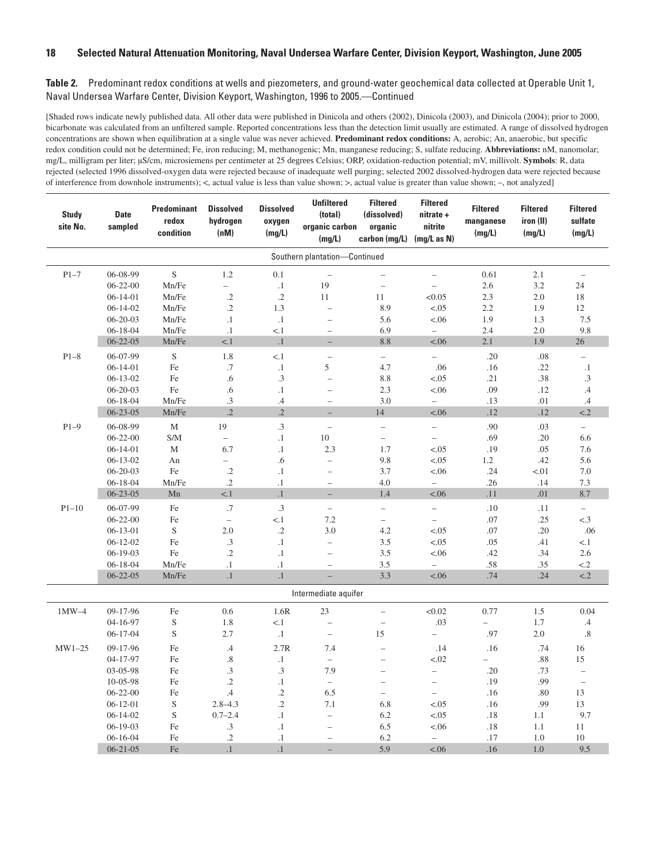| <b>Study</b><br>site No. | <b>Date</b><br>sampled | <b>Predominant</b><br>redox<br>condition | <b>Dissolved</b><br>hydrogen<br>(nM) | <b>Dissolved</b><br>oxygen<br>(mg/L) | <b>Unfiltered</b><br>(total)<br>organic carbon<br>(mg/L) | <b>Filtered</b><br>(dissolved)<br>organic<br>carbon (mg/L) | <b>Filtered</b><br>nitrate +<br>nitrite<br>(mq/L as N) | <b>Filtered</b><br>manganese<br>(mg/L) | <b>Filtered</b><br>iron (II)<br>(mg/L) | <b>Filtered</b><br>sulfate<br>(mg/L) |
|--------------------------|------------------------|------------------------------------------|--------------------------------------|--------------------------------------|----------------------------------------------------------|------------------------------------------------------------|--------------------------------------------------------|----------------------------------------|----------------------------------------|--------------------------------------|
|                          |                        |                                          |                                      |                                      | Southern plantation-Continued                            |                                                            |                                                        |                                        |                                        |                                      |
| $P1 - 7$                 | 06-08-99               | $\mathbf S$                              | $1.2\,$                              | 0.1                                  | $\overline{\phantom{0}}$                                 | $\qquad \qquad -$                                          | $\qquad \qquad -$                                      | 0.61                                   | 2.1                                    | $\qquad \qquad -$                    |
|                          | $06 - 22 - 00$         | Mn/Fe                                    | $\equiv$                             | $\cdot$ 1                            | 19                                                       | $\overline{\phantom{0}}$                                   | $\equiv$                                               | 2.6                                    | 3.2                                    | 24                                   |
|                          | $06 - 14 - 01$         | Mn/Fe                                    | $\cdot$ 2                            | $\cdot$ .2                           | 11                                                       | 11                                                         | < 0.05                                                 | 2.3                                    | 2.0                                    | 18                                   |
|                          | $06 - 14 - 02$         | Mn/Fe                                    | $\cdot$                              | 1.3                                  | $\overline{a}$                                           | 8.9                                                        | < .05                                                  | 2.2                                    | 1.9                                    | 12                                   |
|                          | $06 - 20 - 03$         | Mn/Fe                                    | $\cdot$                              | $\cdot^1$                            | $\overline{a}$                                           | 5.6                                                        | < .06                                                  | 1.9                                    | 1.3                                    | 7.5                                  |
|                          | $06 - 18 - 04$         | Mn/Fe                                    | $\cdot$                              | < 1                                  | $\overline{\phantom{a}}$                                 | 6.9                                                        | $\overline{\phantom{0}}$                               | 2.4                                    | 2.0                                    | 9.8                                  |
|                          | $06 - 22 - 05$         | Mn/Fe                                    | < 1                                  | $\cdot^1$                            | $\overline{a}$                                           | 8.8                                                        | < .06                                                  | 2.1                                    | 1.9                                    | 26                                   |
| $P1-8$                   | 06-07-99               | $\mathbf S$                              | 1.8                                  | < 1                                  | $\overline{\phantom{a}}$                                 | $\overline{\phantom{0}}$                                   | $\overline{\phantom{0}}$                               | .20                                    | .08                                    | $\overline{\phantom{0}}$             |
|                          | $06 - 14 - 01$         | Fe                                       | $.7\,$                               | $\cdot^1$                            | 5                                                        | 4.7                                                        | .06                                                    | .16                                    | .22                                    | $\cdot^1$                            |
|                          | $06 - 13 - 02$         | Fe                                       | .6                                   | $\cdot$ 3                            | $\hspace{1.0cm} - \hspace{1.0cm}$                        | 8.8                                                        | < .05                                                  | .21                                    | .38                                    | $\cdot$ 3                            |
|                          | 06-20-03               | Fe                                       | .6                                   | $\cdot$ 1                            | $\overline{\phantom{0}}$                                 | 2.3                                                        | < .06                                                  | .09                                    | .12                                    | .4                                   |
|                          | $06 - 18 - 04$         | Mn/Fe                                    | .3                                   | .4                                   | $\overline{\phantom{a}}$                                 | 3.0                                                        | $\bar{ }$                                              | .13                                    | .01                                    | .4                                   |
|                          | $06 - 23 - 05$         | Mn/Fe                                    | $\cdot$                              | $\cdot$                              | $\equiv$                                                 | 14                                                         | < .06                                                  | .12                                    | .12                                    | $\leq$ .2                            |
| $P1-9$                   | 06-08-99               | $\mathbf M$                              | 19                                   | $\cdot$ 3                            | $\frac{1}{2}$                                            | $\overline{\phantom{0}}$                                   | $\overline{\phantom{0}}$                               | .90                                    | .03                                    | $\overline{a}$                       |
|                          | $06 - 22 - 00$         | S/M                                      | $\bar{\phantom{a}}$                  | $\cdot$ 1                            | 10                                                       | $\overline{a}$                                             | $\overline{\phantom{0}}$                               | .69                                    | .20                                    | 6.6                                  |
|                          | $06 - 14 - 01$         | $\mathbf M$                              | 6.7                                  | $\cdot$ 1                            | 2.3                                                      | 1.7                                                        | < .05                                                  | .19                                    | .05                                    | 7.6                                  |
|                          | $06 - 13 - 02$         | An                                       | $\overline{\phantom{0}}$             | .6                                   | $\bar{ }$                                                | 9.8                                                        | < .05                                                  | 1.2                                    | .42                                    | 5.6                                  |
|                          | $06 - 20 - 03$         | Fe                                       | $\cdot$ .2                           | $\cdot$ 1                            | $\overline{\phantom{0}}$                                 | 3.7                                                        | < .06                                                  | .24                                    | < 01                                   | 7.0                                  |
|                          | $06 - 18 - 04$         | Mn/Fe                                    | $\cdot$ .2                           | $\cdot$ 1                            | $\overline{\phantom{0}}$                                 | 4.0                                                        | $\overline{\phantom{0}}$                               | .26                                    | .14                                    | 7.3                                  |
|                          | $06 - 23 - 05$         | Mn                                       | $< 1$                                | $\cdot$ 1                            | $\qquad \qquad -$                                        | 1.4                                                        | < .06                                                  | .11                                    | .01                                    | 8.7                                  |
| $P1-10$                  | 06-07-99               | Fe                                       | $.7\,$                               | $\cdot$ 3                            | $\bar{ }$                                                | $\overline{a}$                                             | $\overline{\phantom{0}}$                               | .10                                    | .11                                    | $\overline{a}$                       |
|                          | $06 - 22 - 00$         | Fe                                       | $\overline{\phantom{0}}$             | < 1                                  | 7.2                                                      | $\overline{\phantom{0}}$                                   | $\overline{\phantom{0}}$                               | .07                                    | .25                                    | < .3                                 |
|                          | $06 - 13 - 01$         | $\mathbf S$                              | 2.0                                  | $\cdot$ .2                           | 3.0                                                      | 4.2                                                        | < .05                                                  | .07                                    | .20                                    | .06                                  |
|                          | $06 - 12 - 02$         | Fe                                       | $.3\,$                               | $\cdot$ 1                            | $\frac{1}{2}$                                            | 3.5                                                        | < .05                                                  | .05                                    | .41                                    | < 1                                  |
|                          | $06-19-03$             | Fe                                       | $\cdot$ .2                           | $\cdot$ 1                            | $\overline{a}$                                           | 3.5                                                        | < .06                                                  | .42                                    | .34                                    | 2.6                                  |
|                          | $06 - 18 - 04$         | Mn/Fe                                    | $\cdot$                              | $\cdot$ 1                            | $\overline{\phantom{0}}$                                 | 3.5                                                        | $\overline{\phantom{0}}$                               | .58                                    | .35                                    | $\leq$ .2                            |
|                          | $06 - 22 - 05$         | Mn/Fe                                    | $\cdot$ 1                            | $\cdot$ 1                            | $\equiv$                                                 | 3.3                                                        | < .06                                                  | .74                                    | .24                                    | $\leq$ 2                             |
|                          |                        |                                          |                                      |                                      | Intermediate aquifer                                     |                                                            |                                                        |                                        |                                        |                                      |
| $1MW-4$                  | 09-17-96               | Fe                                       | 0.6                                  | 1.6R                                 | 23                                                       | $\overline{\phantom{0}}$                                   | <0.02                                                  | 0.77                                   | $1.5\,$                                | 0.04                                 |
|                          | 04-16-97               | ${\mathbf S}$                            | 1.8                                  | < 1                                  | $\overline{\phantom{0}}$                                 | $\overline{\phantom{a}}$                                   | .03                                                    | $\overline{\phantom{0}}$               | 1.7                                    | $\cdot$ 4                            |
|                          | $06 - 17 - 04$         | $\mathbf S$                              | 2.7                                  | $\cdot$ 1                            | $\overline{\phantom{0}}$                                 | 15                                                         | $\overline{\phantom{0}}$                               | .97                                    | 2.0                                    | .8                                   |
| $MW1-25$                 | 09-17-96               | Fe                                       | $\mathcal{A}$                        | 2.7R                                 | 7.4                                                      | $\overline{\phantom{0}}$                                   | .14                                                    | .16                                    | .74                                    | 16                                   |
|                          | 04-17-97               | Fe                                       | $.8\,$                               | $\cdot$ 1                            | $\overline{\phantom{0}}$                                 | $\overline{\phantom{0}}$                                   | < .02                                                  |                                        | .88                                    | 15                                   |
|                          | 03-05-98               | Fe                                       | $.3\,$                               | .3                                   | 7.9                                                      | $\overline{\phantom{0}}$                                   | $\overline{\phantom{0}}$                               | .20                                    | .73                                    | $\overline{\phantom{0}}$             |
|                          | 10-05-98               | Fe                                       | $\cdot$ .2                           | $\cdot$ 1                            | $\equiv$                                                 | $\overline{a}$                                             | $\overline{\phantom{0}}$                               | .19                                    | .99                                    | $\overline{\phantom{a}}$             |
|                          | $06 - 22 - 00$         | Fe                                       | $.4\phantom{0}$                      | $\cdot$                              | 6.5                                                      | $\overline{\phantom{0}}$                                   | $\overline{\phantom{0}}$                               | .16                                    | .80                                    | 13                                   |
|                          | $06-12-01$             | ${\mathbf S}$                            | $2.8 - 4.3$                          | $\cdot$                              | 7.1                                                      | 6.8                                                        | < .05                                                  | .16                                    | .99                                    | 13                                   |
|                          | $06-14-02$             | $\mathbf S$                              | $0.7 - 2.4$                          | $\cdot$ 1                            | $\overline{\phantom{0}}$                                 | 6.2                                                        | < .05                                                  | .18                                    | 1.1                                    | 9.7                                  |
|                          | $06-19-03$             | Fe                                       | $\cdot$ 3                            | $\cdot$ 1                            | $\overline{\phantom{0}}$                                 | 6.5                                                        | < .06                                                  | .18                                    | 1.1                                    | 11                                   |
|                          | $06 - 16 - 04$         | Fe                                       | $\cdot$ 2                            | $\cdot$ 1                            | $\overline{\phantom{a}}$                                 | 6.2                                                        | $\equiv$                                               | .17                                    | 1.0                                    | 10                                   |
|                          | $06 - 21 - 05$         | Fe                                       | $\cdot$                              | $\cdot$ 1                            | $\overline{\phantom{0}}$                                 | 5.9                                                        | < .06                                                  | .16                                    | 1.0                                    | 9.5                                  |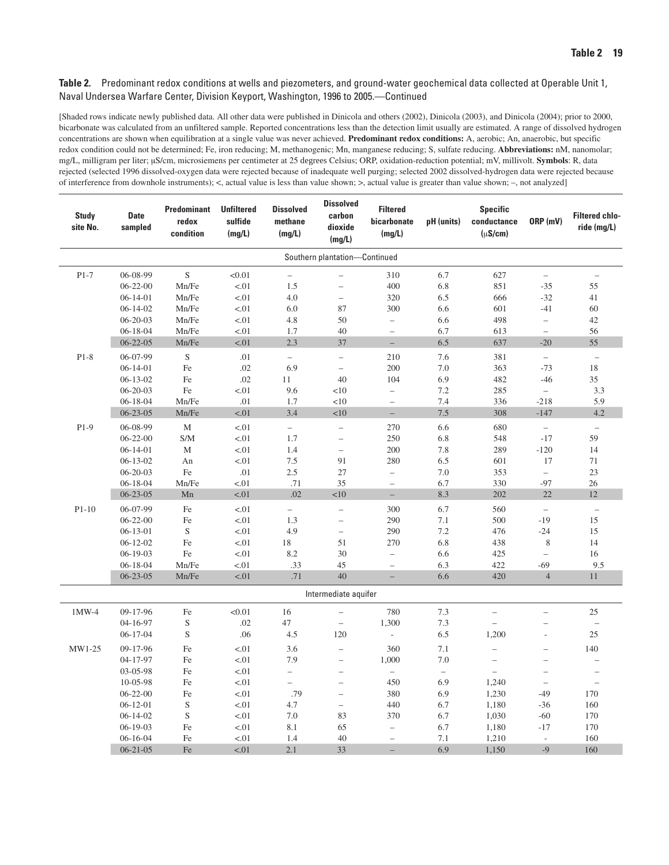| <b>Study</b><br>site No. | <b>Date</b><br>sampled | <b>Predominant</b><br>redox<br>condition | <b>Unfiltered</b><br>sulfide<br>(mg/L) | <b>Dissolved</b><br>methane<br>(mg/L) | <b>Dissolved</b><br>carbon<br>dioxide<br>(mg/L) | <b>Filtered</b><br>bicarbonate<br>(mg/L) | pH (units)               | <b>Specific</b><br>conductance<br>$(\mu S/cm)$ | ORP (mV)                 | <b>Filtered chlo-</b><br>ride (mg/L) |
|--------------------------|------------------------|------------------------------------------|----------------------------------------|---------------------------------------|-------------------------------------------------|------------------------------------------|--------------------------|------------------------------------------------|--------------------------|--------------------------------------|
|                          |                        |                                          |                                        |                                       | Southern plantation-Continued                   |                                          |                          |                                                |                          |                                      |
| $P1-7$                   | 06-08-99               | $\mathbf S$                              | < 0.01                                 | $\qquad \qquad -$                     | $\overline{a}$                                  | 310                                      | 6.7                      | 627                                            | $\overline{\phantom{0}}$ | $\overline{\phantom{0}}$             |
|                          | $06 - 22 - 00$         | Mn/Fe                                    | < .01                                  | 1.5                                   | $\overline{\phantom{0}}$                        | 400                                      | 6.8                      | 851                                            | $-35$                    | 55                                   |
|                          | $06-14-01$             | Mn/Fe                                    | < 01                                   | 4.0                                   | $\qquad \qquad -$                               | 320                                      | 6.5                      | 666                                            | $-32$                    | 41                                   |
|                          | $06-14-02$             | Mn/Fe                                    | < 01                                   | 6.0                                   | 87                                              | 300                                      | 6.6                      | 601                                            | $-41$                    | 60                                   |
|                          | $06 - 20 - 03$         | Mn/Fe                                    | < 01                                   | 4.8                                   | 50                                              | $\overline{\phantom{0}}$                 | 6.6                      | 498                                            | $\frac{1}{2}$            | 42                                   |
|                          | $06 - 18 - 04$         | Mn/Fe                                    | $-.01$                                 | 1.7                                   | 40                                              | $\qquad \qquad -$                        | 6.7                      | 613                                            | $\overline{\phantom{0}}$ | 56                                   |
|                          | $06 - 22 - 05$         | Mn/Fe                                    | < 01                                   | 2.3                                   | 37                                              | $\overline{a}$                           | 6.5                      | 637                                            | $-20$                    | 55                                   |
| $P1-8$                   | 06-07-99               | $\mathbf S$                              | $.01\,$                                | $\overline{\phantom{a}}$              | $\overline{\phantom{0}}$                        | 210                                      | 7.6                      | 381                                            | $\overline{\phantom{0}}$ | $\overline{\phantom{0}}$             |
|                          | $06 - 14 - 01$         | Fe                                       | .02                                    | 6.9                                   | $\overline{a}$                                  | 200                                      | 7.0                      | 363                                            | $-73$                    | 18                                   |
|                          | $06-13-02$             | Fe                                       | .02                                    | 11                                    | 40                                              | 104                                      | 6.9                      | 482                                            | $-46$                    | 35                                   |
|                          | $06 - 20 - 03$         | Fe                                       | < 01                                   | 9.6                                   | <10                                             | $\overline{\phantom{0}}$                 | 7.2                      | 285                                            | $\overline{\phantom{0}}$ | 3.3                                  |
|                          | $06 - 18 - 04$         | Mn/Fe                                    | .01                                    | 1.7                                   | <10                                             | $\overline{a}$                           | 7.4                      | 336                                            | $-218$                   | 5.9                                  |
|                          | $06 - 23 - 05$         | Mn/Fe                                    | $-.01$                                 | 3.4                                   | $<\!\!10$                                       | $\overline{\phantom{0}}$                 | $7.5\,$                  | 308                                            | $-147$                   | 4.2                                  |
| $P1-9$                   | 06-08-99               | M                                        | < 01                                   | $\overline{\phantom{a}}$              | $\overline{\phantom{0}}$                        | 270                                      | 6.6                      | 680                                            | $\overline{\phantom{0}}$ | $\overline{a}$                       |
|                          | $06 - 22 - 00$         | S/M                                      | < 01                                   | 1.7                                   | $\overline{\phantom{0}}$                        | 250                                      | 6.8                      | 548                                            | $-17$                    | 59                                   |
|                          | $06-14-01$             | $\mathbf M$                              | < 01                                   | 1.4                                   | $\overline{\phantom{0}}$                        | 200                                      | 7.8                      | 289                                            | $-120$                   | 14                                   |
|                          | $06 - 13 - 02$         | An                                       | $-.01$                                 | $7.5\,$                               | 91                                              | 280                                      | 6.5                      | 601                                            | 17                       | 71                                   |
|                          | $06 - 20 - 03$         | Fe                                       | .01                                    | 2.5                                   | $27\,$                                          | $\overline{\phantom{0}}$                 | 7.0                      | 353                                            | $\overline{\phantom{0}}$ | 23                                   |
|                          | $06 - 18 - 04$         | Mn/Fe                                    | < 01                                   | .71                                   | 35                                              | $\overline{a}$                           | 6.7                      | 330                                            | $-97$                    | 26                                   |
|                          | $06 - 23 - 05$         | Mn                                       | < .01                                  | .02                                   | <10                                             | $\overline{\phantom{0}}$                 | 8.3                      | 202                                            | 22                       | 12                                   |
| $P1-10$                  | 06-07-99               | Fe                                       | $-.01$                                 | $\equiv$                              | $\overline{a}$                                  | 300                                      | 6.7                      | 560                                            | $\overline{a}$           | $\overline{a}$                       |
|                          | $06 - 22 - 00$         | Fe                                       | < 01                                   | 1.3                                   | $\overline{\phantom{0}}$                        | 290                                      | 7.1                      | 500                                            | $-19$                    | 15                                   |
|                          | $06-13-01$             | $\mathbf S$                              | < 01                                   | 4.9                                   | $\overline{\phantom{0}}$                        | 290                                      | 7.2                      | 476                                            | $-24$                    | 15                                   |
|                          | $06-12-02$             | Fe                                       | < 01                                   | 18                                    | 51                                              | 270                                      | 6.8                      | 438                                            | $\,$ 8 $\,$              | 14                                   |
|                          | $06-19-03$             | Fe                                       | $-.01$                                 | 8.2                                   | 30                                              | $\overline{\phantom{0}}$                 | 6.6                      | 425                                            | $\overline{a}$           | 16                                   |
|                          | $06 - 18 - 04$         | Mn/Fe                                    | < 01                                   | .33                                   | 45                                              | $\overline{\phantom{0}}$                 | 6.3                      | 422                                            | $-69$                    | 9.5                                  |
|                          | $06 - 23 - 05$         | Mn/Fe                                    | < .01                                  | .71                                   | 40                                              | $\overline{\phantom{0}}$                 | 6.6                      | 420                                            | $\overline{4}$           | 11                                   |
|                          |                        |                                          |                                        |                                       | Intermediate aquifer                            |                                          |                          |                                                |                          |                                      |
| 1MW-4                    | 09-17-96               | Fe                                       | < 0.01                                 | 16                                    | $\qquad \qquad -$                               | 780                                      | 7.3                      | $\overline{\phantom{0}}$                       | $\overline{\phantom{0}}$ | 25                                   |
|                          | 04-16-97               | $\mathbf S$                              | .02                                    | 47                                    | $\qquad \qquad -$                               | 1,300                                    | 7.3                      | $\overline{\phantom{0}}$                       |                          | $\qquad \qquad -$                    |
|                          | $06-17-04$             | $\mathbf S$                              | .06                                    | 4.5                                   | 120                                             | $\overline{\phantom{a}}$                 | 6.5                      | 1,200                                          | L,                       | 25                                   |
| MW1-25                   | 09-17-96               | Fe                                       | ${<}01$                                | 3.6                                   | $\overline{\phantom{0}}$                        | 360                                      | 7.1                      | $\qquad \qquad -$                              | $\overline{\phantom{0}}$ | 140                                  |
|                          | 04-17-97               | Fe                                       | $-.01$                                 | 7.9                                   | $\overline{\phantom{0}}$                        | 1,000                                    | 7.0                      | $\overline{\phantom{0}}$                       | $\overline{\phantom{0}}$ | $\overline{\phantom{0}}$             |
|                          | 03-05-98               | Fe                                       | < 01                                   | $\overline{\phantom{0}}$              | $\qquad \qquad -$                               | $\overline{\phantom{0}}$                 | $\overline{\phantom{m}}$ | $\overline{\phantom{0}}$                       | $\overline{\phantom{0}}$ | $\overline{\phantom{0}}$             |
|                          | 10-05-98               | Fe                                       | < 01                                   | $\overline{a}$                        | $\qquad \qquad -$                               | 450                                      | 6.9                      | 1,240                                          | $\qquad \qquad -$        | $\qquad \qquad -$                    |
|                          | $06 - 22 - 00$         | Fe                                       | $-.01$                                 | .79                                   | $\qquad \qquad -$                               | 380                                      | 6.9                      | 1,230                                          | $-49$                    | 170                                  |
|                          | $06 - 12 - 01$         | $\mathbf S$                              | $-.01$                                 | 4.7                                   | $\qquad \qquad -$                               | 440                                      | 6.7                      | 1,180                                          | $-36$                    | 160                                  |
|                          | $06 - 14 - 02$         | $\mathbf S$                              | < 01                                   | 7.0                                   | 83                                              | 370                                      | 6.7                      | 1,030                                          | $-60$                    | 170                                  |
|                          | $06 - 19 - 03$         | Fe                                       | < 01                                   | 8.1                                   | 65                                              | $\qquad \qquad -$                        | 6.7                      | 1,180                                          | $-17$                    | 170                                  |
|                          | $06 - 16 - 04$         | Fe                                       | < 01                                   | 1.4                                   | 40                                              | $\qquad \qquad -$                        | 7.1                      | 1,210                                          | $\overline{\phantom{a}}$ | 160                                  |
|                          | $06 - 21 - 05$         | Fe                                       | < .01                                  | 2.1                                   | 33                                              | $\overline{\phantom{0}}$                 | 6.9                      | 1,150                                          | $-9$                     | 160                                  |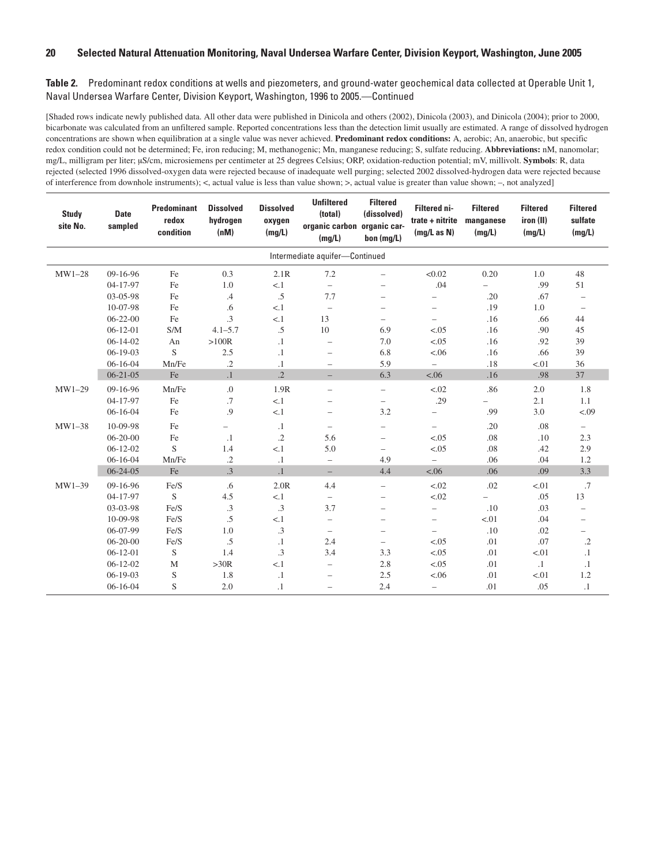| <b>Study</b><br>site No. | <b>Date</b><br>sampled | <b>Predominant</b><br>redox<br>condition | <b>Dissolved</b><br>hydrogen<br>(nM) | <b>Dissolved</b><br>oxygen<br>(mg/L) | <b>Unfiltered</b><br>(total)<br>organic carbon organic car-<br>(mg/L) | <b>Filtered</b><br>(dissolved)<br>bon (mq/L) | Filtered ni-<br>trate + nitrite<br>(mg/L as N) | <b>Filtered</b><br>manganese<br>(mg/L) | <b>Filtered</b><br>iron (II)<br>(mg/L) | <b>Filtered</b><br>sulfate<br>(mg/L) |
|--------------------------|------------------------|------------------------------------------|--------------------------------------|--------------------------------------|-----------------------------------------------------------------------|----------------------------------------------|------------------------------------------------|----------------------------------------|----------------------------------------|--------------------------------------|
|                          |                        |                                          |                                      |                                      | Intermediate aquifer-Continued                                        |                                              |                                                |                                        |                                        |                                      |
| $MW1-28$                 | $09-16-96$             | Fe                                       | 0.3                                  | 2.1R                                 | 7.2                                                                   | $\overline{\phantom{0}}$                     | < 0.02                                         | 0.20                                   | 1.0                                    | 48                                   |
|                          | 04-17-97               | Fe                                       | 1.0                                  | < 1                                  | $\equiv$                                                              | $\overline{\phantom{0}}$                     | .04                                            |                                        | .99                                    | 51                                   |
|                          | 03-05-98               | Fe                                       | $\cdot$ 4                            | $.5\,$                               | 7.7                                                                   | $\overline{\phantom{0}}$                     | $\overline{\phantom{0}}$                       | .20                                    | .67                                    | $\overline{\phantom{0}}$             |
|                          | 10-07-98               | Fe                                       | .6                                   | < 1                                  | $\overline{\phantom{0}}$                                              |                                              | $\overline{\phantom{0}}$                       | .19                                    | 1.0                                    |                                      |
|                          | $06 - 22 - 00$         | Fe                                       | $\cdot$ 3                            | < 1                                  | 13                                                                    | -                                            | $\overline{\phantom{0}}$                       | .16                                    | .66                                    | 44                                   |
|                          | $06-12-01$             | S/M                                      | $4.1 - 5.7$                          | $.5\,$                               | 10                                                                    | 6.9                                          | < .05                                          | .16                                    | .90                                    | 45                                   |
|                          | $06 - 14 - 02$         | An                                       | >100R                                | $\cdot$ 1                            | $\overline{\phantom{0}}$                                              | 7.0                                          | < .05                                          | .16                                    | .92                                    | 39                                   |
|                          | $06-19-03$             | S                                        | 2.5                                  | $\cdot$ 1                            | $\overline{\phantom{0}}$                                              | 6.8                                          | < .06                                          | .16                                    | .66                                    | 39                                   |
|                          | $06 - 16 - 04$         | Mn/Fe                                    | $\cdot$ .2                           | $\cdot$ 1                            | $\overline{\phantom{0}}$                                              | 5.9                                          | $\overline{\phantom{0}}$                       | .18                                    | < 01                                   | 36                                   |
|                          | $06 - 21 - 05$         | Fe                                       | $\cdot$ 1                            | $\overline{.2}$                      | $-$                                                                   | 6.3                                          | < .06                                          | .16                                    | .98                                    | 37                                   |
| $MW1-29$                 | 09-16-96               | Mn/Fe                                    | $\cdot$                              | 1.9R                                 | $\overline{\phantom{0}}$                                              | $\overline{\phantom{0}}$                     | < 0.02                                         | .86                                    | 2.0                                    | 1.8                                  |
|                          | 04-17-97               | Fe                                       | .7                                   | < 1                                  | $\overline{\phantom{0}}$                                              | $\overline{\phantom{0}}$                     | .29                                            |                                        | 2.1                                    | 1.1                                  |
|                          | $06-16-04$             | Fe                                       | .9                                   | < 1                                  | $\overline{\phantom{0}}$                                              | 3.2                                          | $\qquad \qquad -$                              | .99                                    | 3.0                                    | < .09                                |
| $MW1-38$                 | 10-09-98               | Fe                                       | $\overline{\phantom{0}}$             | $\cdot$ 1                            | $\overline{\phantom{0}}$                                              | $\overline{\phantom{0}}$                     | $\overline{\phantom{0}}$                       | .20                                    | .08                                    | $\overline{\phantom{0}}$             |
|                          | $06 - 20 - 00$         | Fe                                       | $\cdot$ 1                            | $.2\,$                               | 5.6                                                                   | $\overline{\phantom{0}}$                     | < 0.05                                         | .08                                    | .10                                    | 2.3                                  |
|                          | $06 - 12 - 02$         | S                                        | 1.4                                  | < 1                                  | 5.0                                                                   | $\overline{\phantom{0}}$                     | < .05                                          | .08                                    | .42                                    | 2.9                                  |
|                          | $06 - 16 - 04$         | Mn/Fe                                    | $\cdot$                              | $\cdot$ 1                            | $\overline{\phantom{0}}$                                              | 4.9                                          | $\overline{\phantom{m}}$                       | .06                                    | .04                                    | 1.2                                  |
|                          | $06 - 24 - 05$         | Fe                                       | $\cdot$ 3                            | $\cdot$ 1                            | $-$                                                                   | 4.4                                          | < .06                                          | .06                                    | .09                                    | 3.3                                  |
| MW1-39                   | 09-16-96               | Fe/S                                     | .6                                   | 2.0R                                 | 4.4                                                                   | $\overline{\phantom{0}}$                     | < 0.02                                         | .02                                    | < 01                                   | .7                                   |
|                          | 04-17-97               | S                                        | 4.5                                  | < 1                                  | $\overline{\phantom{0}}$                                              | $\overline{\phantom{0}}$                     | < .02                                          |                                        | .05                                    | 13                                   |
|                          | 03-03-98               | Fe/S                                     | .3                                   | .3                                   | 3.7                                                                   | $\overline{\phantom{0}}$                     | $\qquad \qquad -$                              | .10                                    | .03                                    | $\overline{\phantom{0}}$             |
|                          | 10-09-98               | Fe/S                                     | .5                                   | < 1                                  | $\overline{\phantom{0}}$                                              | $\overline{\phantom{m}}$                     | $\overline{\phantom{m}}$                       | < 01                                   | .04                                    | $\overline{\phantom{0}}$             |
|                          | 06-07-99               | Fe/S                                     | 1.0                                  | .3                                   | $\overline{\phantom{0}}$                                              | $\overline{\phantom{0}}$                     | $\overline{\phantom{m}}$                       | .10                                    | .02                                    | $\overline{\phantom{0}}$             |
|                          | $06 - 20 - 00$         | Fe/S                                     | .5                                   | $\cdot$ 1                            | 2.4                                                                   | $\overline{\phantom{0}}$                     | < .05                                          | .01                                    | .07                                    | $\cdot$ 2                            |
|                          | $06-12-01$             | S                                        | 1.4                                  | .3                                   | 3.4                                                                   | 3.3                                          | < 0.05                                         | .01                                    | < 01                                   | $\cdot$ 1                            |
|                          | $06 - 12 - 02$         | $\mathbf M$                              | >30R                                 | < 1                                  | $\overline{\phantom{0}}$                                              | 2.8                                          | < 0.05                                         | .01                                    | $\cdot$ 1                              | $\cdot$ 1                            |
|                          | $06-19-03$             | S                                        | 1.8                                  | $\cdot$ 1                            | $\overline{\phantom{0}}$                                              | 2.5                                          | < .06                                          | .01                                    | < 01                                   | 1.2                                  |
|                          | $06 - 16 - 04$         | S                                        | 2.0                                  | $\cdot$ 1                            | $\overline{\phantom{0}}$                                              | 2.4                                          | $\overline{\phantom{0}}$                       | .01                                    | .05                                    | $\cdot$ 1                            |